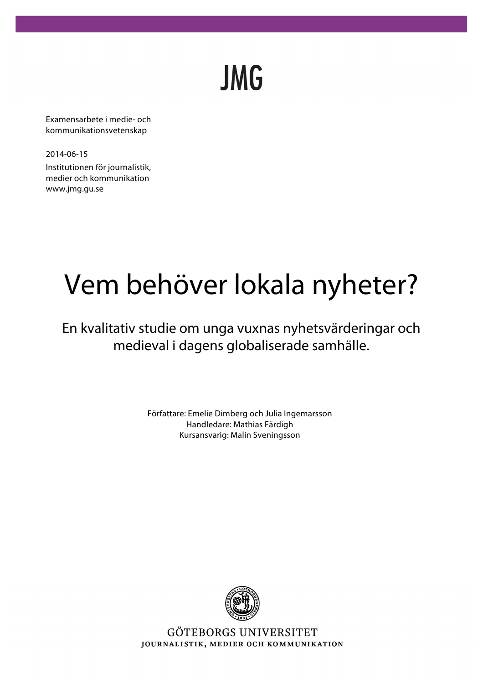**JMG** 

Examensarbete i medie- och kommunikationsvetenskap

2014-06-15 Institutionen för journalistik, medier och kommunikation www.jmg.gu.se

# Vem behöver lokala nyheter?

En kvalitativ studie om unga vuxnas nyhetsvärderingar och medieval i dagens globaliserade samhälle.

> Författare: Emelie Dimberg och Julia Ingemarsson Handledare: Mathias Färdigh Kursansvarig: Malin Sveningsson



GÖTEBORGS UNIVERSITET JOURNALISTIK, MEDIER OCH KOMMUNIKATION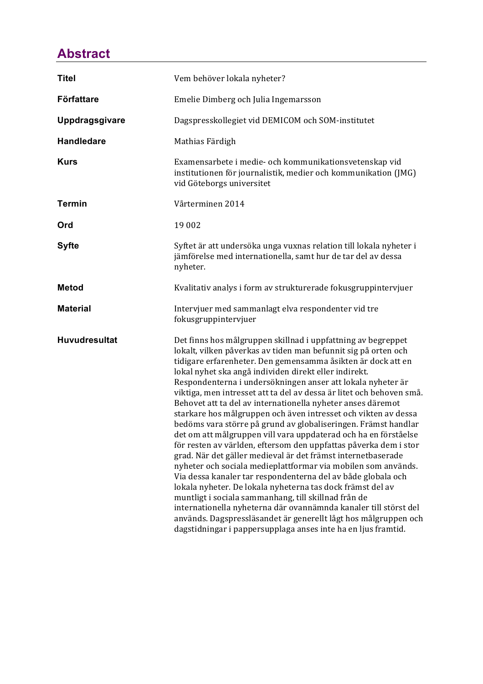# **Abstract**

| <b>Titel</b>         | Vem behöver lokala nyheter?                                                                                                                                                                                                                                                                                                                                                                                                                                                                                                                                                                                                                                                                                                                                                                                                                                                                                                                                                                                                                                                                                                                                                                                                                                             |
|----------------------|-------------------------------------------------------------------------------------------------------------------------------------------------------------------------------------------------------------------------------------------------------------------------------------------------------------------------------------------------------------------------------------------------------------------------------------------------------------------------------------------------------------------------------------------------------------------------------------------------------------------------------------------------------------------------------------------------------------------------------------------------------------------------------------------------------------------------------------------------------------------------------------------------------------------------------------------------------------------------------------------------------------------------------------------------------------------------------------------------------------------------------------------------------------------------------------------------------------------------------------------------------------------------|
| <b>Författare</b>    | Emelie Dimberg och Julia Ingemarsson                                                                                                                                                                                                                                                                                                                                                                                                                                                                                                                                                                                                                                                                                                                                                                                                                                                                                                                                                                                                                                                                                                                                                                                                                                    |
| Uppdragsgivare       | Dagspresskollegiet vid DEMICOM och SOM-institutet                                                                                                                                                                                                                                                                                                                                                                                                                                                                                                                                                                                                                                                                                                                                                                                                                                                                                                                                                                                                                                                                                                                                                                                                                       |
| <b>Handledare</b>    | Mathias Färdigh                                                                                                                                                                                                                                                                                                                                                                                                                                                                                                                                                                                                                                                                                                                                                                                                                                                                                                                                                                                                                                                                                                                                                                                                                                                         |
| <b>Kurs</b>          | Examensarbete i medie- och kommunikationsvetenskap vid<br>institutionen för journalistik, medier och kommunikation (JMG)<br>vid Göteborgs universitet                                                                                                                                                                                                                                                                                                                                                                                                                                                                                                                                                                                                                                                                                                                                                                                                                                                                                                                                                                                                                                                                                                                   |
| <b>Termin</b>        | Vårterminen 2014                                                                                                                                                                                                                                                                                                                                                                                                                                                                                                                                                                                                                                                                                                                                                                                                                                                                                                                                                                                                                                                                                                                                                                                                                                                        |
| Ord                  | 19 002                                                                                                                                                                                                                                                                                                                                                                                                                                                                                                                                                                                                                                                                                                                                                                                                                                                                                                                                                                                                                                                                                                                                                                                                                                                                  |
| <b>Syfte</b>         | Syftet är att undersöka unga vuxnas relation till lokala nyheter i<br>jämförelse med internationella, samt hur de tar del av dessa<br>nyheter.                                                                                                                                                                                                                                                                                                                                                                                                                                                                                                                                                                                                                                                                                                                                                                                                                                                                                                                                                                                                                                                                                                                          |
| <b>Metod</b>         | Kvalitativ analys i form av strukturerade fokusgruppintervjuer                                                                                                                                                                                                                                                                                                                                                                                                                                                                                                                                                                                                                                                                                                                                                                                                                                                                                                                                                                                                                                                                                                                                                                                                          |
| <b>Material</b>      | Intervjuer med sammanlagt elva respondenter vid tre<br>fokusgruppintervjuer                                                                                                                                                                                                                                                                                                                                                                                                                                                                                                                                                                                                                                                                                                                                                                                                                                                                                                                                                                                                                                                                                                                                                                                             |
| <b>Huvudresultat</b> | Det finns hos målgruppen skillnad i uppfattning av begreppet<br>lokalt, vilken påverkas av tiden man befunnit sig på orten och<br>tidigare erfarenheter. Den gemensamma åsikten är dock att en<br>lokal nyhet ska angå individen direkt eller indirekt.<br>Respondenterna i undersökningen anser att lokala nyheter är<br>viktiga, men intresset att ta del av dessa är litet och behoven små.<br>Behovet att ta del av internationella nyheter anses däremot<br>starkare hos målgruppen och även intresset och vikten av dessa<br>bedöms vara större på grund av globaliseringen. Främst handlar<br>det om att målgruppen vill vara uppdaterad och ha en förståelse<br>för resten av världen, eftersom den uppfattas påverka dem i stor<br>grad. När det gäller medieval är det främst internetbaserade<br>nyheter och sociala medieplattformar via mobilen som används.<br>Via dessa kanaler tar respondenterna del av både globala och<br>lokala nyheter. De lokala nyheterna tas dock främst del av<br>muntligt i sociala sammanhang, till skillnad från de<br>internationella nyheterna där ovannämnda kanaler till störst del<br>används. Dagspressläsandet är generellt lågt hos målgruppen och<br>dagstidningar i pappersupplaga anses inte ha en ljus framtid. |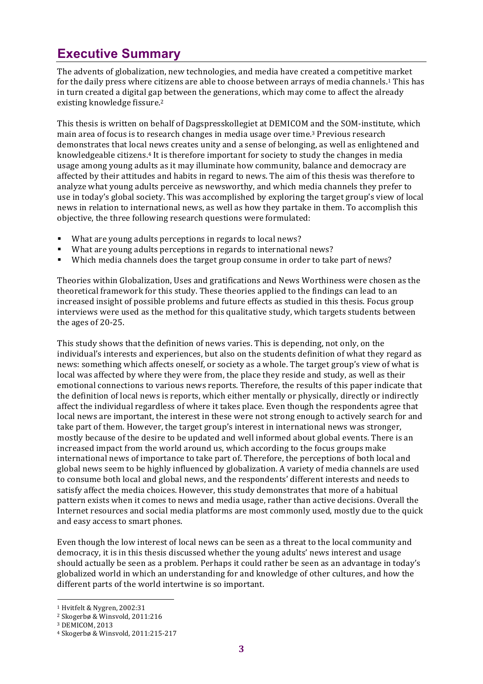# **Executive Summary**

The advents of globalization, new technologies, and media have created a competitive market for the daily press where citizens are able to choose between arrays of media channels.<sup>1</sup> This has in turn created a digital gap between the generations, which may come to affect the already existing knowledge fissure.<sup>2</sup>

This thesis is written on behalf of Dagspresskollegiet at DEMICOM and the SOM-institute, which main area of focus is to research changes in media usage over time.<sup>3</sup> Previous research demonstrates that local news creates unity and a sense of belonging, as well as enlightened and knowledgeable citizens.<sup>4</sup> It is therefore important for society to study the changes in media usage among young adults as it may illuminate how community, balance and democracy are affected by their attitudes and habits in regard to news. The aim of this thesis was therefore to analyze what young adults perceive as newsworthy, and which media channels they prefer to use in today's global society. This was accomplished by exploring the target group's view of local news in relation to international news, as well as how they partake in them. To accomplish this objective, the three following research questions were formulated:

- What are young adults perceptions in regards to local news?
- What are young adults perceptions in regards to international news?
- Which media channels does the target group consume in order to take part of news?

Theories within Globalization, Uses and gratifications and News Worthiness were chosen as the theoretical framework for this study. These theories applied to the findings can lead to an increased insight of possible problems and future effects as studied in this thesis. Focus group interviews were used as the method for this qualitative study, which targets students between the ages of 20-25.

This study shows that the definition of news varies. This is depending, not only, on the individual's interests and experiences, but also on the students definition of what they regard as news: something which affects oneself, or society as a whole. The target group's view of what is local was affected by where they were from, the place they reside and study, as well as their emotional connections to various news reports. Therefore, the results of this paper indicate that the definition of local news is reports, which either mentally or physically, directly or indirectly affect the individual regardless of where it takes place. Even though the respondents agree that local news are important, the interest in these were not strong enough to actively search for and take part of them. However, the target group's interest in international news was stronger, mostly because of the desire to be updated and well informed about global events. There is an increased impact from the world around us, which according to the focus groups make international news of importance to take part of. Therefore, the perceptions of both local and global news seem to be highly influenced by globalization. A variety of media channels are used to consume both local and global news, and the respondents' different interests and needs to satisfy affect the media choices. However, this study demonstrates that more of a habitual pattern exists when it comes to news and media usage, rather than active decisions. Overall the Internet resources and social media platforms are most commonly used, mostly due to the quick and easy access to smart phones.

Even though the low interest of local news can be seen as a threat to the local community and democracy, it is in this thesis discussed whether the young adults' news interest and usage should actually be seen as a problem. Perhaps it could rather be seen as an advantage in today's globalized world in which an understanding for and knowledge of other cultures, and how the different parts of the world intertwine is so important.

<sup>&</sup>lt;sup>1</sup> Hvitfelt & Nygren, 2002:31

<sup>&</sup>lt;sup>2</sup> Skogerbø & Winsvold, 2011:216

<sup>&</sup>lt;sup>3</sup> DEMICOM, 2013

<sup>&</sup>lt;sup>4</sup> Skogerbø & Winsvold, 2011:215-217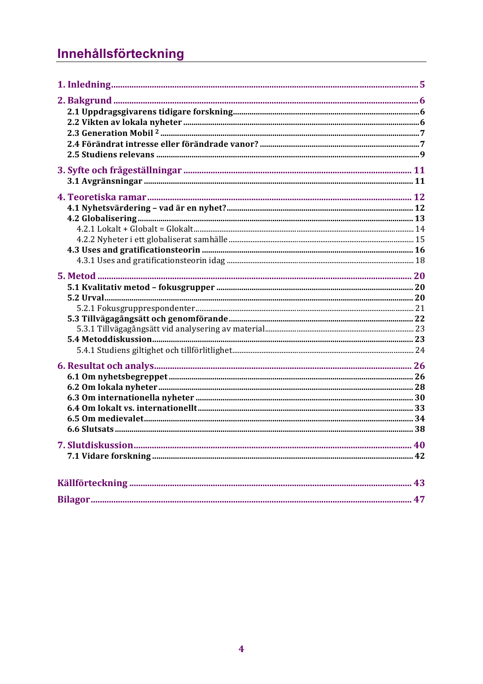# Innehållsförteckning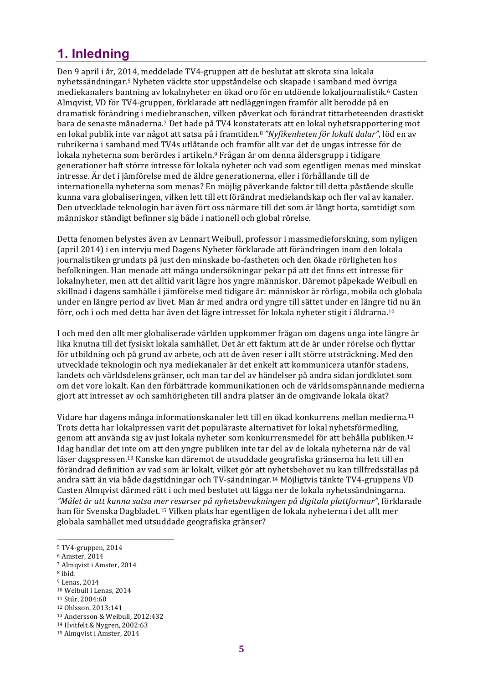# **1. Inledning**

Den 9 april i år, 2014, meddelade TV4-gruppen att de beslutat att skrota sina lokala nyhetssändningar.<sup>5</sup> Nyheten väckte stor uppståndelse och skapade i samband med övriga mediekanalers bantning av lokalnyheter en ökad oro för en utdöende lokaljournalistik.<sup>6</sup> Casten Almqvist, VD för TV4-gruppen, förklarade att nedläggningen framför allt berodde på en dramatisk förändring i mediebranschen, vilken påverkat och förändrat tittarbeteenden drastiskt bara de senaste månaderna.<sup>7</sup> Det hade på TV4 konstaterats att en lokal nyhetsrapportering mot en lokal publik inte var något att satsa på i framtiden.<sup>8</sup> "Nyfikenheten för lokalt dalar", löd en av rubrikerna i samband med TV4s utlåtande och framför allt var det de ungas intresse för de lokala nyheterna som berördes i artikeln.<sup>9</sup> Frågan är om denna åldersgrupp i tidigare generationer haft större intresse för lokala nyheter och vad som egentligen menas med minskat intresse. Är det i jämförelse med de äldre generationerna, eller i förhållande till de internationella nyheterna som menas? En möjlig påverkande faktor till detta påstående skulle kunna vara globaliseringen, vilken lett till ett förändrat medielandskap och fler val av kanaler. Den utvecklade teknologin har även fört oss närmare till det som är långt borta, samtidigt som människor ständigt befinner sig både i nationell och global rörelse.

Detta fenomen belystes även av Lennart Weibull, professor i massmedieforskning, som nyligen (april 2014) i en intervju med Dagens Nyheter förklarade att förändringen inom den lokala journalistiken grundats på just den minskade bo-fastheten och den ökade rörligheten hos befolkningen. Han menade att många undersökningar pekar på att det finns ett intresse för lokalnyheter, men att det alltid varit lägre hos yngre människor. Däremot påpekade Weibull en skillnad i dagens samhälle i jämförelse med tidigare år: människor är rörliga, mobila och globala under en längre period av livet. Man är med andra ord yngre till sättet under en längre tid nu än förr, och i och med detta har även det lägre intresset för lokala nyheter stigit i åldrarna.<sup>10</sup>

I och med den allt mer globaliserade världen uppkommer frågan om dagens unga inte längre är lika knutna till det fysiskt lokala samhället. Det är ett faktum att de är under rörelse och flyttar för utbildning och på grund av arbete, och att de även reser i allt större utsträckning. Med den utvecklade teknologin och nya mediekanaler är det enkelt att kommunicera utanför stadens, landets och världsdelens gränser, och man tar del av händelser på andra sidan jordklotet som om det vore lokalt. Kan den förbättrade kommunikationen och de världsomspännande medierna gjort att intresset av och samhörigheten till andra platser än de omgivande lokala ökat?

Vidare har dagens många informationskanaler lett till en ökad konkurrens mellan medierna.<sup>11</sup> Trots detta har lokalpressen varit det populäraste alternativet för lokal nyhetsförmedling, genom att använda sig av just lokala nyheter som konkurrensmedel för att behålla publiken.<sup>12</sup> Idag handlar det inte om att den yngre publiken inte tar del av de lokala nyheterna när de väl läser dagspressen.<sup>13</sup> Kanske kan däremot de utsuddade geografiska gränserna ha lett till en förändrad definition av vad som är lokalt, vilket gör att nyhetsbehovet nu kan tillfredsställas på andra sätt än via både dagstidningar och TV-sändningar.<sup>14</sup> Möjligtvis tänkte TV4-gruppens VD Casten Almqvist därmed rätt i och med beslutet att lägga ner de lokala nyhetssändningarna. "Målet är att kunna satsa mer resurser på nyhetsbevakningen på digitala plattformar", förklarade han för Svenska Dagbladet.<sup>15</sup> Vilken plats har egentligen de lokala nyheterna i det allt mer globala samhället med utsuddade geografiska gränser?

**5**

<sup>8</sup> ibid.

<sup>&</sup>lt;sup>5</sup> TV4-gruppen, 2014

<sup>6</sup> Amster, 2014

<sup>&</sup>lt;sup>7</sup> Almqvist i Amster, 2014

<sup>&</sup>lt;sup>9</sup> Lenas, 2014

<sup>&</sup>lt;sup>10</sup> Weibull i Lenas, 2014

<sup>11</sup> Stúr, 2004:60

<sup>12</sup> Ohlsson, 2013:141

<sup>13</sup> Andersson & Weibull, 2012:432

<sup>&</sup>lt;sup>14</sup> Hvitfelt & Nygren, 2002:63 <sup>15</sup> Almqvist i Amster, 2014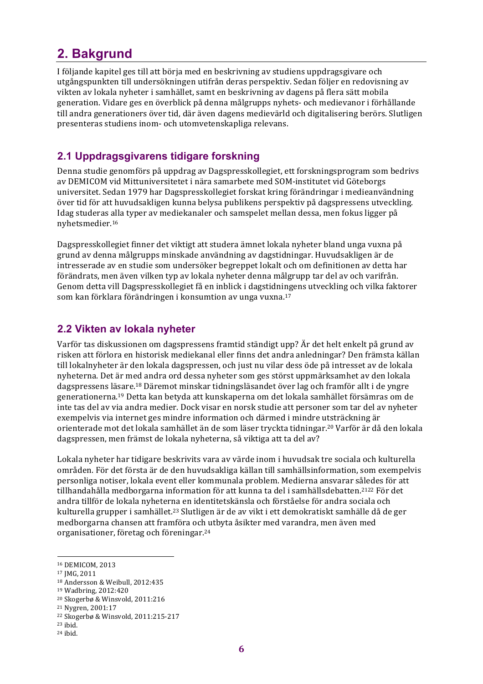# **2. Bakgrund**

I följande kapitel ges till att börja med en beskrivning av studiens uppdragsgivare och utgångspunkten till undersökningen utifrån deras perspektiv. Sedan följer en redovisning av vikten av lokala nyheter i samhället, samt en beskrivning av dagens på flera sätt mobila generation. Vidare ges en överblick på denna målgrupps nyhets- och medievanor i förhållande till andra generationers över tid, där även dagens medievärld och digitalisering berörs. Slutligen presenteras studiens inom- och utomvetenskapliga relevans.

# **2.1 Uppdragsgivarens tidigare forskning**

Denna studie genomförs på uppdrag av Dagspresskollegiet, ett forskningsprogram som bedrivs av DEMICOM vid Mittuniversitetet i nära samarbete med SOM-institutet vid Göteborgs universitet. Sedan 1979 har Dagspresskollegiet forskat kring förändringar i medieanvändning över tid för att huvudsakligen kunna belysa publikens perspektiv på dagspressens utveckling. Idag studeras alla typer av mediekanaler och samspelet mellan dessa, men fokus ligger på nyhetsmedier.16

Dagspresskollegiet finner det viktigt att studera ämnet lokala nyheter bland unga vuxna på grund av denna målgrupps minskade användning av dagstidningar. Huvudsakligen är de intresserade av en studie som undersöker begreppet lokalt och om definitionen av detta har förändrats, men även vilken typ av lokala nyheter denna målgrupp tar del av och varifrån. Genom detta vill Dagspresskollegiet få en inblick i dagstidningens utveckling och vilka faktorer som kan förklara förändringen i konsumtion av unga vuxna.<sup>17</sup>

## **2.2 Vikten av lokala nyheter**

Varför tas diskussionen om dagspressens framtid ständigt upp? Är det helt enkelt på grund av risken att förlora en historisk mediekanal eller finns det andra anledningar? Den främsta källan till lokalnyheter är den lokala dagspressen, och just nu vilar dess öde på intresset av de lokala nyheterna. Det är med andra ord dessa nyheter som ges störst uppmärksamhet av den lokala dagspressens läsare.<sup>18</sup> Däremot minskar tidningsläsandet över lag och framför allt i de yngre generationerna.<sup>19</sup> Detta kan betyda att kunskaperna om det lokala samhället försämras om de inte tas del av via andra medier. Dock visar en norsk studie att personer som tar del av nyheter exempelvis via internet ges mindre information och därmed i mindre utsträckning är orienterade mot det lokala samhället än de som läser tryckta tidningar.<sup>20</sup> Varför är då den lokala dagspressen, men främst de lokala nyheterna, så viktiga att ta del av?

Lokala nyheter har tidigare beskrivits vara av värde inom i huvudsak tre sociala och kulturella områden. För det första är de den huvudsakliga källan till samhällsinformation, som exempelvis personliga notiser, lokala event eller kommunala problem. Medierna ansvarar således för att tillhandahålla medborgarna information för att kunna ta del i samhällsdebatten.<sup>2122</sup> För det andra tillför de lokala nyheterna en identitetskänsla och förståelse för andra sociala och kulturella grupper i samhället.<sup>23</sup> Slutligen är de av vikt i ett demokratiskt samhälle då de ger medborgarna chansen att framföra och utbyta åsikter med varandra, men även med organisationer, företag och föreningar.<sup>24</sup>

<sup>16</sup> DEMICOM, 2013

<sup>&</sup>lt;sup>17</sup> JMG, 2011

<sup>&</sup>lt;sup>18</sup> Andersson & Weibull, 2012:435

<sup>19</sup> Wadbring, 2012:420

<sup>&</sup>lt;sup>20</sup> Skogerbø & Winsvold, 2011:216

<sup>&</sup>lt;sup>21</sup> Nygren, 2001:17

<sup>&</sup>lt;sup>22</sup> Skogerbø & Winsvold, 2011:215-217

<sup>23</sup> ibid. <sup>24</sup> ibid.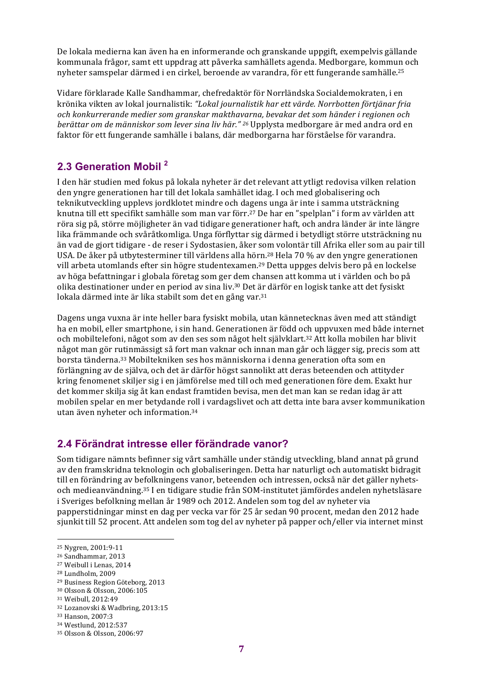De lokala medierna kan även ha en informerande och granskande uppgift, exempelvis gällande kommunala frågor, samt ett uppdrag att påverka samhällets agenda. Medborgare, kommun och nyheter samspelar därmed i en cirkel, beroende av varandra, för ett fungerande samhälle.<sup>25</sup>

Vidare förklarade Kalle Sandhammar, chefredaktör för Norrländska Socialdemokraten, i en krönika vikten av lokal journalistik: *"Lokal journalistik har ett värde. Norrbotten förtjänar fria*  och konkurrerande medier som granskar makthavarna, bevakar det som händer i regionen och *berättar* om de människor som lever sina liv här." <sup>26</sup> Upplysta medborgare är med andra ord en faktor för ett fungerande samhälle i balans, där medborgarna har förståelse för varandra.

## **2.3 Generation Mobil 2**

I den här studien med fokus på lokala nyheter är det relevant att ytligt redovisa vilken relation den yngre generationen har till det lokala samhället idag. I och med globalisering och teknikutveckling upplevs jordklotet mindre och dagens unga är inte i samma utsträckning knutna till ett specifikt samhälle som man var förr.<sup>27</sup> De har en "spelplan" i form av världen att röra sig på, större möjligheter än vad tidigare generationer haft, och andra länder är inte längre lika främmande och svåråtkomliga. Unga förflyttar sig därmed i betydligt större utsträckning nu än vad de gjort tidigare - de reser i Sydostasien, åker som volontär till Afrika eller som au pair till USA. De åker på utbytesterminer till världens alla hörn.<sup>28</sup> Hela 70 % av den yngre generationen vill arbeta utomlands efter sin högre studentexamen.<sup>29</sup> Detta uppges delvis bero på en lockelse av höga befattningar i globala företag som ger dem chansen att komma ut i världen och bo på olika destinationer under en period av sina liv.<sup>30</sup> Det är därför en logisk tanke att det fysiskt lokala därmed inte är lika stabilt som det en gång var.<sup>31</sup>

Dagens unga vuxna är inte heller bara fysiskt mobila, utan kännetecknas även med att ständigt ha en mobil, eller smartphone, i sin hand. Generationen är född och uppvuxen med både internet och mobiltelefoni, något som av den ses som något helt självklart.<sup>32</sup> Att kolla mobilen har blivit något man gör rutinmässigt så fort man vaknar och innan man går och lägger sig, precis som att borsta tänderna.<sup>33</sup> Mobiltekniken ses hos människorna i denna generation ofta som en förlängning av de själva, och det är därför högst sannolikt att deras beteenden och attityder kring fenomenet skiljer sig i en jämförelse med till och med generationen före dem. Exakt hur det kommer skilja sig åt kan endast framtiden bevisa, men det man kan se redan idag är att mobilen spelar en mer betydande roll i vardagslivet och att detta inte bara avser kommunikation utan även nyheter och information.<sup>34</sup>

# **2.4 Förändrat intresse eller förändrade vanor?**

Som tidigare nämnts befinner sig vårt samhälle under ständig utveckling, bland annat på grund av den framskridna teknologin och globaliseringen. Detta har naturligt och automatiskt bidragit till en förändring av befolkningens vanor, beteenden och intressen, också när det gäller nyhetsoch medieanvändning.<sup>35</sup> I en tidigare studie från SOM-institutet jämfördes andelen nyhetsläsare i Sveriges befolkning mellan år 1989 och 2012. Andelen som tog del av nyheter via papperstidningar minst en dag per vecka var för 25 år sedan 90 procent, medan den 2012 hade sjunkit till 52 procent. Att andelen som tog del av nyheter på papper och/eller via internet minst

<sup>&</sup>lt;sup>25</sup> Nygren, 2001:9-11

<sup>&</sup>lt;sup>26</sup> Sandhammar, 2013

<sup>&</sup>lt;sup>27</sup> Weibull i Lenas, 2014

<sup>&</sup>lt;sup>28</sup> Lundholm, 2009

<sup>&</sup>lt;sup>29</sup> Business Region Göteborg, 2013

<sup>30</sup> Olsson & Olsson, 2006:105

<sup>31</sup> Weibull, 2012:49

<sup>&</sup>lt;sup>32</sup> Lozanovski & Wadbring, 2013:15

<sup>33</sup> Hanson, 2007:3

<sup>34</sup> Westlund, 2012:537

<sup>35</sup> Olsson & Olsson, 2006:97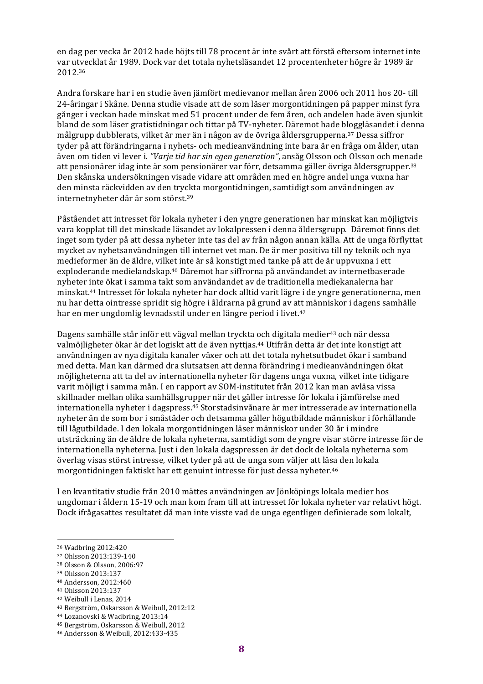en dag per vecka år 2012 hade höjts till 78 procent är inte svårt att förstå eftersom internet inte var utvecklat år 1989. Dock var det totala nyhetsläsandet 12 procentenheter högre år 1989 är 2012.36

Andra forskare har i en studie även jämfört medievanor mellan åren 2006 och 2011 hos 20- till 24-åringar i Skåne. Denna studie visade att de som läser morgontidningen på papper minst fyra gånger i veckan hade minskat med 51 procent under de fem åren, och andelen hade även sjunkit bland de som läser gratistidningar och tittar på TV-nyheter. Däremot hade bloggläsandet i denna målgrupp dubblerats, vilket är mer än i någon av de övriga åldersgrupperna.<sup>37</sup> Dessa siffror tyder på att förändringarna i nyhets- och medieanvändning inte bara är en fråga om ålder, utan även om tiden vi lever i. "Varje tid har sin egen generation", ansåg Olsson och Olsson och menade att pensionärer idag inte är som pensionärer var förr, detsamma gäller övriga åldersgrupper.<sup>38</sup> Den skånska undersökningen visade vidare att områden med en högre andel unga vuxna har den minsta räckvidden av den tryckta morgontidningen, samtidigt som användningen av internetnyheter där är som störst.<sup>39</sup>

Påståendet att intresset för lokala nyheter i den yngre generationen har minskat kan möjligtvis vara kopplat till det minskade läsandet av lokalpressen i denna åldersgrupp. Däremot finns det inget som tyder på att dessa nyheter inte tas del av från någon annan källa. Att de unga förflyttat mycket av nyhetsanvändningen till internet vet man. De är mer positiva till ny teknik och nya medieformer än de äldre, vilket inte är så konstigt med tanke på att de är uppvuxna i ett exploderande medielandskap.<sup>40</sup> Däremot har siffrorna på användandet av internetbaserade nyheter inte ökat i samma takt som användandet av de traditionella mediekanalerna har minskat.<sup>41</sup> Intresset för lokala nyheter har dock alltid varit lägre i de yngre generationerna, men nu har detta ointresse spridit sig högre i åldrarna på grund av att människor i dagens samhälle har en mer ungdomlig levnadsstil under en längre period i livet.<sup>42</sup>

Dagens samhälle står inför ett vägval mellan tryckta och digitala medier<sup>43</sup> och när dessa valmöjligheter ökar är det logiskt att de även nyttjas.<sup>44</sup> Utifrån detta är det inte konstigt att användningen av nya digitala kanaler växer och att det totala nyhetsutbudet ökar i samband med detta. Man kan därmed dra slutsatsen att denna förändring i medieanvändningen ökat möjligheterna att ta del av internationella nyheter för dagens unga vuxna, vilket inte tidigare varit möjligt i samma mån. I en rapport av SOM-institutet från 2012 kan man avläsa vissa skillnader mellan olika samhällsgrupper när det gäller intresse för lokala i jämförelse med internationella nyheter i dagspress.<sup>45</sup> Storstadsinvånare är mer intresserade av internationella nyheter än de som bor i småstäder och detsamma gäller högutbildade människor i förhållande till lågutbildade. I den lokala morgontidningen läser människor under 30 år i mindre utsträckning än de äldre de lokala nyheterna, samtidigt som de yngre visar större intresse för de internationella nyheterna. Just i den lokala dagspressen är det dock de lokala nyheterna som överlag visas störst intresse, vilket tyder på att de unga som väljer att läsa den lokala morgontidningen faktiskt har ett genuint intresse för just dessa nyheter.<sup>46</sup>

I en kvantitativ studie från 2010 mättes användningen av Jönköpings lokala medier hos ungdomar i åldern 15-19 och man kom fram till att intresset för lokala nyheter var relativt högt. Dock ifrågasattes resultatet då man inte visste vad de unga egentligen definierade som lokalt,

- 40 Andersson, 2012:460
- <sup>41</sup> Ohlsson 2013:137
- <sup>42</sup> Weibull i Lenas, 2014
- <sup>43</sup> Bergström, Oskarsson & Weibull, 2012:12

<sup>36</sup> Wadbring 2012:420

<sup>37</sup> Ohlsson 2013:139-140

<sup>38</sup> Olsson & Olsson, 2006:97

<sup>39</sup> Ohlsson 2013:137

<sup>&</sup>lt;sup>44</sup> Lozanovski & Wadbring, 2013:14

<sup>&</sup>lt;sup>45</sup> Bergström, Oskarsson & Weibull, 2012

<sup>46</sup> Andersson & Weibull, 2012:433-435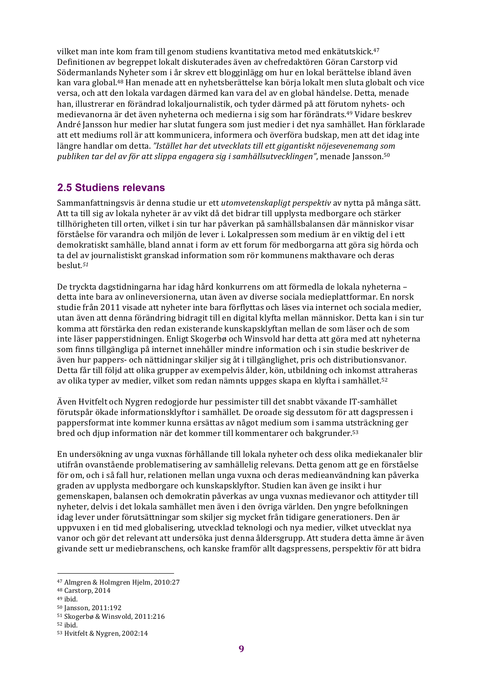vilket man inte kom fram till genom studiens kvantitativa metod med enkätutskick.<sup>47</sup> Definitionen av begreppet lokalt diskuterades även av chefredaktören Göran Carstorp vid Södermanlands Nyheter som i år skrev ett blogginlägg om hur en lokal berättelse ibland även kan vara global.<sup>48</sup> Han menade att en nyhetsberättelse kan börja lokalt men sluta globalt och vice versa, och att den lokala vardagen därmed kan vara del av en global händelse. Detta, menade han, illustrerar en förändrad lokaljournalistik, och tyder därmed på att förutom nyhets- och medievanorna är det även nyheterna och medierna i sig som har förändrats.<sup>49</sup> Vidare beskrev André Jansson hur medier har slutat fungera som just medier i det nya samhället. Han förklarade att ett mediums roll är att kommunicera, informera och överföra budskap, men att det idag inte längre handlar om detta. "Istället har det utvecklats till ett gigantiskt nöjesevenemang som *publiken tar del av för att slippa engagera sig i samhällsutvecklingen"*, menade Jansson.<sup>50</sup>

## **2.5 Studiens relevans**

Sammanfattningsvis är denna studie ur ett *utomvetenskapligt perspektiv* av nytta på många sätt. Att ta till sig av lokala nyheter är av vikt då det bidrar till upplysta medborgare och stärker tillhörigheten till orten, vilket i sin tur har påverkan på samhällsbalansen där människor visar förståelse för varandra och miljön de lever i. Lokalpressen som medium är en viktig del i ett demokratiskt samhälle, bland annat i form av ett forum för medborgarna att göra sig hörda och ta del av journalistiskt granskad information som rör kommunens makthavare och deras beslut*. 51*

De tryckta dagstidningarna har idag hård konkurrens om att förmedla de lokala nyheterna – detta inte bara av onlineversionerna, utan även av diverse sociala medieplattformar. En norsk studie från 2011 visade att nyheter inte bara förflyttas och läses via internet och sociala medier. utan även att denna förändring bidragit till en digital klyfta mellan människor. Detta kan i sin tur komma att förstärka den redan existerande kunskapsklyftan mellan de som läser och de som inte läser papperstidningen. Enligt Skogerbø och Winsvold har detta att göra med att nyheterna som finns tillgängliga på internet innehåller mindre information och i sin studie beskriver de även hur pappers- och nättidningar skiljer sig åt i tillgänglighet, pris och distributionsvanor. Detta får till följd att olika grupper av exempelvis ålder, kön, utbildning och inkomst attraheras av olika typer av medier, vilket som redan nämnts uppges skapa en klyfta i samhället.<sup>52</sup>

Även Hvitfelt och Nygren redogjorde hur pessimister till det snabbt växande IT-samhället förutspår ökade informationsklyftor i samhället. De oroade sig dessutom för att dagspressen i pappersformat inte kommer kunna ersättas av något medium som i samma utsträckning ger bred och djup information när det kommer till kommentarer och bakgrunder.<sup>53</sup>

En undersökning av unga vuxnas förhållande till lokala nyheter och dess olika mediekanaler blir utifrån ovanstående problematisering av samhällelig relevans. Detta genom att ge en förståelse för om, och i så fall hur, relationen mellan unga vuxna och deras medieanvändning kan påverka graden av upplysta medborgare och kunskapsklyftor. Studien kan även ge insikt i hur gemenskapen, balansen och demokratin påverkas av unga vuxnas medievanor och attityder till nyheter, delvis i det lokala samhället men även i den övriga världen. Den yngre befolkningen idag lever under förutsättningar som skiljer sig mycket från tidigare generationers. Den är uppvuxen i en tid med globalisering, utvecklad teknologi och nya medier, vilket utvecklat nya vanor och gör det relevant att undersöka just denna åldersgrupp. Att studera detta ämne är även givande sett ur mediebranschens, och kanske framför allt dagspressens, perspektiv för att bidra

 <sup>47</sup> Almgren & Holmgren Hjelm, 2010:27

<sup>&</sup>lt;sup>48</sup> Carstorp, 2014

<sup>49</sup> ibid.

<sup>50</sup> Jansson, 2011:192

<sup>51</sup> Skogerbø & Winsvold, 2011:216

<sup>52</sup> ibid.

<sup>&</sup>lt;sup>53</sup> Hvitfelt & Nygren, 2002:14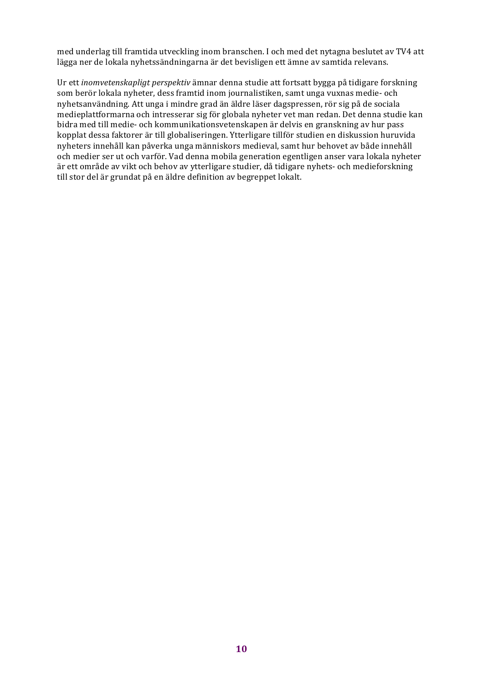med underlag till framtida utveckling inom branschen. I och med det nytagna beslutet av TV4 att lägga ner de lokala nyhetssändningarna är det bevisligen ett ämne av samtida relevans.

Ur ett *inomvetenskapligt perspektiv* ämnar denna studie att fortsatt bygga på tidigare forskning som berör lokala nyheter, dess framtid inom journalistiken, samt unga vuxnas medie- och nyhetsanvändning. Att unga i mindre grad än äldre läser dagspressen, rör sig på de sociala medieplattformarna och intresserar sig för globala nyheter vet man redan. Det denna studie kan bidra med till medie- och kommunikationsvetenskapen är delvis en granskning av hur pass kopplat dessa faktorer är till globaliseringen. Ytterligare tillför studien en diskussion huruvida nyheters innehåll kan påverka unga människors medieval, samt hur behovet av både innehåll och medier ser ut och varför. Vad denna mobila generation egentligen anser vara lokala nyheter är ett område av vikt och behov av ytterligare studier, då tidigare nyhets- och medieforskning till stor del är grundat på en äldre definition av begreppet lokalt.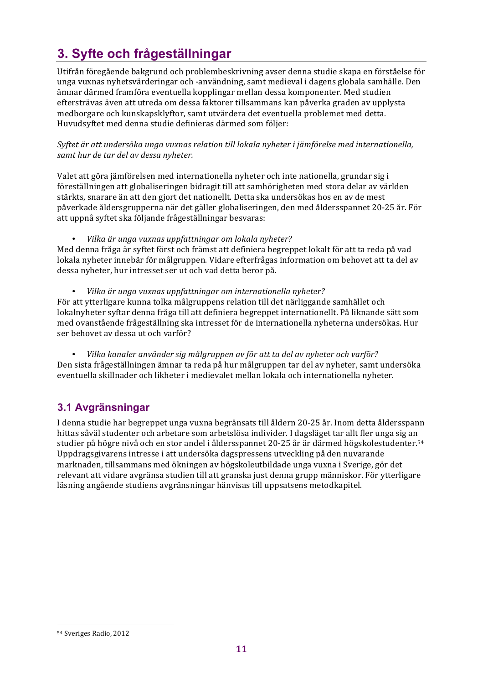# **3. Syfte och frågeställningar**

Utifrån föregående bakgrund och problembeskrivning avser denna studie skapa en förståelse för unga vuxnas nyhetsvärderingar och -användning, samt medieval i dagens globala samhälle. Den ämnar därmed framföra eventuella kopplingar mellan dessa komponenter. Med studien eftersträvas även att utreda om dessa faktorer tillsammans kan påverka graden av upplysta medborgare och kunskapsklyftor, samt utvärdera det eventuella problemet med detta. Huvudsyftet med denna studie definieras därmed som följer:

*Syftet är att undersöka unga vuxnas relation till lokala nyheter i jämförelse med internationella,*  samt hur de tar del av dessa nyheter.

Valet att göra jämförelsen med internationella nyheter och inte nationella, grundar sig i föreställningen att globaliseringen bidragit till att samhörigheten med stora delar av världen stärkts, snarare än att den gjort det nationellt. Detta ska undersökas hos en av de mest påverkade åldersgrupperna när det gäller globaliseringen, den med åldersspannet 20-25 år. För att uppnå syftet ska följande frågeställningar besvaras:

• *Vilka är unga vuxnas uppfattningar om lokala nyheter?*

Med denna fråga är syftet först och främst att definiera begreppet lokalt för att ta reda på vad lokala nyheter innebär för målgruppen. Vidare efterfrågas information om behovet att ta del av dessa nyheter, hur intresset ser ut och vad detta beror på.

• *Vilka är unga vuxnas uppfattningar om internationella nyheter?* 

För att ytterligare kunna tolka målgruppens relation till det närliggande samhället och lokalnyheter syftar denna fråga till att definiera begreppet internationellt. På liknande sätt som med ovanstående frågeställning ska intresset för de internationella nyheterna undersökas. Hur ser behovet av dessa ut och varför?

• *Vilka kanaler använder sig målgruppen av för att ta del av nyheter och varför?* Den sista frågeställningen ämnar ta reda på hur målgruppen tar del av nyheter, samt undersöka eventuella skillnader och likheter i medievalet mellan lokala och internationella nyheter.

# **3.1 Avgränsningar**

I denna studie har begreppet unga vuxna begränsats till åldern 20-25 år. Inom detta åldersspann hittas såväl studenter och arbetare som arbetslösa individer. I dagsläget tar allt fler unga sig an studier på högre nivå och en stor andel i åldersspannet 20-25 år är därmed högskolestudenter.<sup>54</sup> Uppdragsgivarens intresse i att undersöka dagspressens utveckling på den nuvarande marknaden, tillsammans med ökningen av högskoleutbildade unga vuxna i Sverige, gör det relevant att vidare avgränsa studien till att granska just denna grupp människor. För ytterligare läsning angående studiens avgränsningar hänvisas till uppsatsens metodkapitel.

 54 Sveriges Radio, 2012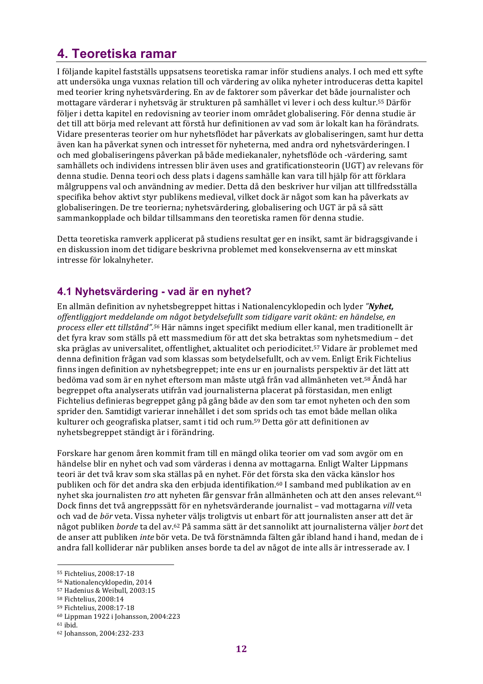# **4. Teoretiska ramar**

I följande kapitel fastställs uppsatsens teoretiska ramar inför studiens analys. I och med ett syfte att undersöka unga vuxnas relation till och värdering av olika nyheter introduceras detta kapitel med teorier kring nyhetsvärdering. En av de faktorer som påverkar det både journalister och mottagare värderar i nyhetsväg är strukturen på samhället vi lever i och dess kultur.<sup>55</sup> Därför följer i detta kapitel en redovisning av teorier inom området globalisering. För denna studie är det till att börja med relevant att förstå hur definitionen av vad som är lokalt kan ha förändrats. Vidare presenteras teorier om hur nyhetsflödet har påverkats av globaliseringen, samt hur detta även kan ha påverkat synen och intresset för nyheterna, med andra ord nyhetsvärderingen. I och med globaliseringens påverkan på både mediekanaler, nyhetsflöde och -värdering, samt samhällets och individens intressen blir även uses and gratificationsteorin (UGT) av relevans för denna studie. Denna teori och dess plats i dagens samhälle kan vara till hjälp för att förklara målgruppens val och användning av medier. Detta då den beskriver hur viljan att tillfredsställa specifika behov aktivt styr publikens medieval, vilket dock är något som kan ha påverkats av globaliseringen. De tre teorierna; nyhetsvärdering, globalisering och UGT är på så sätt sammankopplade och bildar tillsammans den teoretiska ramen för denna studie.

Detta teoretiska ramverk applicerat på studiens resultat ger en insikt, samt är bidragsgivande i en diskussion inom det tidigare beskrivna problemet med konsekvenserna av ett minskat intresse för lokalnyheter.

## **4.1 Nyhetsvärdering - vad är en nyhet?**

En allmän definition av nyhetsbegreppet hittas i Nationalencyklopedin och lyder "*Nyhet*, offentliggjort meddelande om något betydelsefullt som tidigare varit okänt: en händelse, en *process eller ett tillstånd".<sup>56</sup>* Här nämns inget specifikt medium eller kanal, men traditionellt är det fyra krav som ställs på ett massmedium för att det ska betraktas som nyhetsmedium – det ska präglas av universalitet, offentlighet, aktualitet och periodicitet.<sup>57</sup> Vidare är problemet med denna definition frågan vad som klassas som betydelsefullt, och av vem. Enligt Erik Fichtelius finns ingen definition av nyhetsbegreppet; inte ens ur en journalists perspektiv är det lätt att bedöma vad som är en nyhet eftersom man måste utgå från vad allmänheten vet.<sup>58</sup> Ändå har begreppet ofta analyserats utifrån vad journalisterna placerat på förstasidan, men enligt Fichtelius definieras begreppet gång på gång både av den som tar emot nyheten och den som sprider den. Samtidigt varierar innehållet i det som sprids och tas emot både mellan olika kulturer och geografiska platser, samt i tid och rum.<sup>59</sup> Detta gör att definitionen av nyhetsbegreppet ständigt är i förändring.

Forskare har genom åren kommit fram till en mängd olika teorier om vad som avgör om en händelse blir en nyhet och vad som värderas i denna av mottagarna. Enligt Walter Lippmans teori är det två krav som ska ställas på en nyhet. För det första ska den väcka känslor hos publiken och för det andra ska den erbjuda identifikation.<sup>60</sup> I samband med publikation av en nyhet ska journalisten *tro* att nyheten får gensvar från allmänheten och att den anses relevant.<sup>61</sup> Dock finns det två angreppssätt för en nyhetsvärderande journalist – vad mottagarna *vill* veta och vad de *bör* veta. Vissa nyheter väljs troligtvis ut enbart för att journalisten anser att det är något publiken *borde* ta del av.62 På samma sätt är det sannolikt att journalisterna väljer *bort* det de anser att publiken *inte* bör veta. De två förstnämnda fälten går ibland hand i hand, medan de i andra fall kolliderar när publiken anses borde ta del av något de inte alls är intresserade av. I

<sup>55</sup> Fichtelius, 2008:17-18

<sup>56</sup> Nationalencyklopedin, 2014

<sup>&</sup>lt;sup>57</sup> Hadenius & Weibull, 2003:15

<sup>58</sup> Fichtelius, 2008:14

<sup>59</sup> Fichtelius, 2008:17-18

<sup>60</sup> Lippman 1922 i Johansson, 2004:223

<sup>61</sup> ibid.

<sup>62</sup> Johansson, 2004:232-233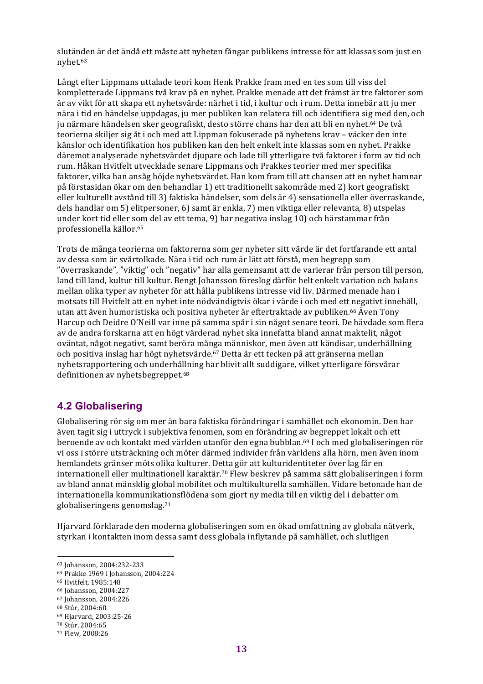slutänden är det ändå ett måste att nyheten fångar publikens intresse för att klassas som just en nyhet.63

Långt efter Lippmans uttalade teori kom Henk Prakke fram med en tes som till viss del kompletterade Lippmans två krav på en nyhet. Prakke menade att det främst är tre faktorer som är av vikt för att skapa ett nyhetsvärde: närhet i tid, i kultur och i rum. Detta innebär att ju mer nära i tid en händelse uppdagas, ju mer publiken kan relatera till och identifiera sig med den, och ju närmare händelsen sker geografiskt, desto större chans har den att bli en nyhet.<sup>64</sup> De två teorierna skiljer sig åt i och med att Lippman fokuserade på nyhetens krav – väcker den inte känslor och identifikation hos publiken kan den helt enkelt inte klassas som en nyhet. Prakke däremot analyserade nyhetsvärdet djupare och lade till ytterligare två faktorer i form av tid och rum. Håkan Hvitfelt utvecklade senare Lippmans och Prakkes teorier med mer specifika faktorer, vilka han ansåg höjde nyhetsvärdet. Han kom fram till att chansen att en nyhet hamnar på förstasidan ökar om den behandlar 1) ett traditionellt sakområde med 2) kort geografiskt eller kulturellt avstånd till 3) faktiska händelser, som dels är 4) sensationella eller överraskande, dels handlar om 5) elitpersoner, 6) samt är enkla, 7) men viktiga eller relevanta, 8) utspelas under kort tid eller som del av ett tema, 9) har negativa inslag 10) och härstammar från professionella källor.65

Trots de många teorierna om faktorerna som ger nyheter sitt värde är det fortfarande ett antal av dessa som är svårtolkade. Nära i tid och rum är lätt att förstå, men begrepp som "överraskande", "viktig" och "negativ" har alla gemensamt att de varierar från person till person, land till land, kultur till kultur. Bengt Johansson föreslog därför helt enkelt variation och balans mellan olika typer av nyheter för att hålla publikens intresse vid liv. Därmed menade han i motsats till Hvitfelt att en nyhet inte nödvändigtvis ökar i värde i och med ett negativt innehåll, utan att även humoristiska och positiva nyheter är eftertraktade av publiken.<sup>66</sup> Även Tony Harcup och Deidre O'Neill var inne på samma spår i sin något senare teori. De hävdade som flera av de andra forskarna att en högt värderad nyhet ska innefatta bland annat maktelit, något oväntat, något negativt, samt beröra många människor, men även att kändisar, underhållning och positiva inslag har högt nyhetsvärde.<sup>67</sup> Detta är ett tecken på att gränserna mellan nyhetsrapportering och underhållning har blivit allt suddigare, vilket ytterligare försvårar definitionen av nyhetsbegreppet.<sup>68</sup>

#### **4.2 Globalisering**

Globalisering rör sig om mer än bara faktiska förändringar i samhället och ekonomin. Den har även tagit sig i uttryck i subjektiva fenomen, som en förändring av begreppet lokalt och ett beroende av och kontakt med världen utanför den egna bubblan.<sup>69</sup> I och med globaliseringen rör vi oss i större utsträckning och möter därmed individer från världens alla hörn, men även inom hemlandets gränser möts olika kulturer. Detta gör att kulturidentiteter över lag får en internationell eller multinationell karaktär.<sup>70</sup> Flew beskrev på samma sätt globaliseringen i form av bland annat mänsklig global mobilitet och multikulturella samhällen. Vidare betonade han de internationella kommunikationsflödena som gjort ny media till en viktig del i debatter om globaliseringens genomslag.<sup>71</sup>

Hjarvard förklarade den moderna globaliseringen som en ökad omfattning av globala nätverk, styrkan i kontakten inom dessa samt dess globala inflytande på samhället, och slutligen

 

<sup>68</sup> Stúr, 2004:60

<sup>63</sup> Johansson, 2004:232-233

<sup>64</sup> Prakke 1969 i Johansson, 2004:224

<sup>65</sup> Hvitfelt, 1985:148

<sup>66</sup> Johansson, 2004:227

<sup>67</sup> Johansson, 2004:226

<sup>69</sup> Hjarvard, 2003:25-26

<sup>70</sup> Stúr, 2004:65

<sup>71</sup> Flew, 2008:26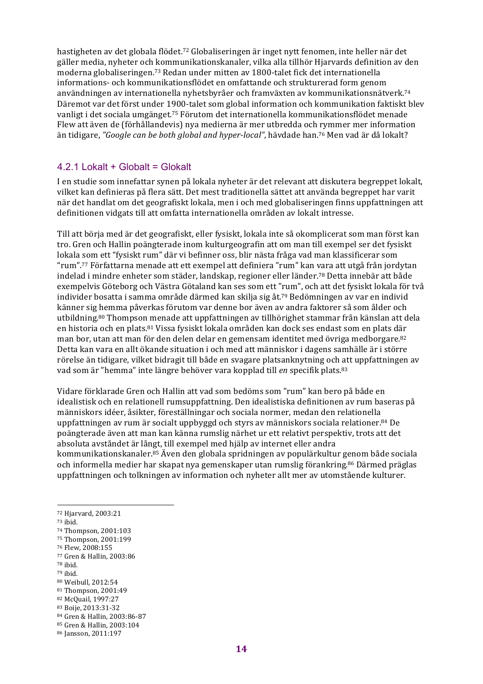hastigheten av det globala flödet.<sup>72</sup> Globaliseringen är inget nytt fenomen, inte heller när det gäller media, nyheter och kommunikationskanaler, vilka alla tillhör Hjarvards definition av den moderna globaliseringen.<sup>73</sup> Redan under mitten av 1800-talet fick det internationella informations- och kommunikationsflödet en omfattande och strukturerad form genom användningen av internationella nyhetsbyråer och framväxten av kommunikationsnätverk.<sup>74</sup> Däremot var det först under 1900-talet som global information och kommunikation faktiskt blev vanligt i det sociala umgänget.<sup>75</sup> Förutom det internationella kommunikationsflödet menade Flew att även de (förhållandevis) nya medierna är mer utbredda och rymmer mer information än tidigare, "Google can be both global and hyper-local", hävdade han.<sup>76</sup> Men vad är då lokalt?

#### 4.2.1 Lokalt + Globalt = Glokalt

I en studie som innefattar synen på lokala nyheter är det relevant att diskutera begreppet lokalt, vilket kan definieras på flera sätt. Det mest traditionella sättet att använda begreppet har varit när det handlat om det geografiskt lokala, men i och med globaliseringen finns uppfattningen att definitionen vidgats till att omfatta internationella områden av lokalt intresse.

Till att börja med är det geografiskt, eller fysiskt, lokala inte så okomplicerat som man först kan tro. Gren och Hallin poängterade inom kulturgeografin att om man till exempel ser det fysiskt lokala som ett "fysiskt rum" där vi befinner oss, blir nästa fråga vad man klassificerar som "rum".<sup>77</sup> Författarna menade att ett exempel att definiera "rum" kan vara att utgå från jordytan indelad i mindre enheter som städer, landskap, regioner eller länder.<sup>78</sup> Detta innebär att både exempelvis Göteborg och Västra Götaland kan ses som ett "rum", och att det fysiskt lokala för två individer bosatta i samma område därmed kan skilja sig åt.<sup>79</sup> Bedömningen av var en individ känner sig hemma påverkas förutom var denne bor även av andra faktorer så som ålder och utbildning.<sup>80</sup> Thompson menade att uppfattningen av tillhörighet stammar från känslan att dela en historia och en plats.<sup>81</sup> Vissa fysiskt lokala områden kan dock ses endast som en plats där man bor, utan att man för den delen delar en gemensam identitet med övriga medborgare.<sup>82</sup> Detta kan vara en allt ökande situation i och med att människor i dagens samhälle är i större rörelse än tidigare, vilket bidragit till både en svagare platsanknytning och att uppfattningen av vad som är "hemma" inte längre behöver vara kopplad till *en* specifik plats.<sup>83</sup>

Vidare förklarade Gren och Hallin att vad som bedöms som "rum" kan bero på både en idealistisk och en relationell rumsuppfattning. Den idealistiska definitionen av rum baseras på människors idéer, åsikter, föreställningar och sociala normer, medan den relationella uppfattningen av rum är socialt uppbyggd och styrs av människors sociala relationer.<sup>84</sup> De poängterade även att man kan känna rumslig närhet ur ett relativt perspektiv, trots att det absoluta avståndet är långt, till exempel med hjälp av internet eller andra kommunikationskanaler.<sup>85</sup> Även den globala spridningen av populärkultur genom både sociala och informella medier har skapat nya gemenskaper utan rumslig förankring.<sup>86</sup> Därmed präglas uppfattningen och tolkningen av information och nyheter allt mer av utomstående kulturer.

 

- <sup>76</sup> Flew, 2008:155
- <sup>77</sup> Gren & Hallin, 2003:86
- <sup>78</sup> ibid.
- <sup>79</sup> ibid.
- 80 Weibull, 2012:54
- 81 Thompson, 2001:49 82 McQuail, 1997:27
- 83 Boije, 2013:31-32

85 Gren & Hallin, 2003:104

<sup>72</sup> Hjarvard, 2003:21

<sup>73</sup> ibid.

<sup>74</sup> Thompson, 2001:103

<sup>75</sup> Thompson, 2001:199

<sup>84</sup> Gren & Hallin, 2003:86-87

<sup>86</sup> Jansson, 2011:197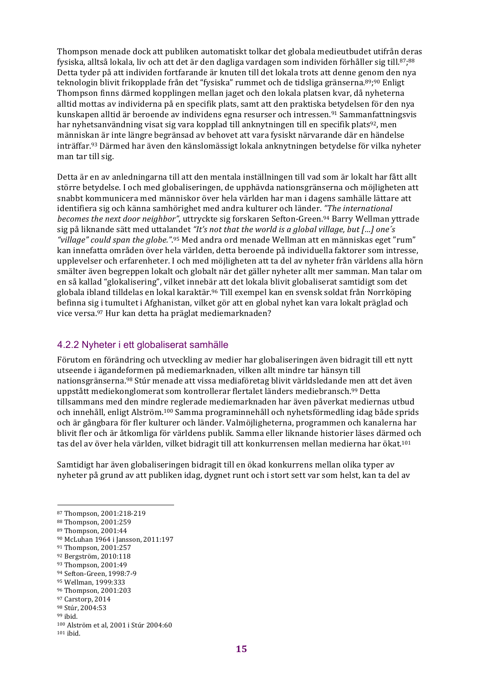Thompson menade dock att publiken automatiskt tolkar det globala medieutbudet utifrån deras fysiska, alltså lokala, liv och att det är den dagliga vardagen som individen förhåller sig till.<sup>87</sup>;<sup>88</sup> Detta tyder på att individen fortfarande är knuten till det lokala trots att denne genom den nya teknologin blivit frikopplade från det "fysiska" rummet och de tidsliga gränserna.<sup>89</sup>;<sup>90</sup> Enligt Thompson finns därmed kopplingen mellan jaget och den lokala platsen kvar, då nyheterna alltid mottas av individerna på en specifik plats, samt att den praktiska betydelsen för den nya kunskapen alltid är beroende av individens egna resurser och intressen.<sup>91</sup> Sammanfattningsvis har nyhetsanvändning visat sig vara kopplad till anknytningen till en specifik plats<sup>92</sup>, men människan är inte längre begränsad av behovet att vara fysiskt närvarande där en händelse inträffar.<sup>93</sup> Därmed har även den känslomässigt lokala anknytningen betydelse för vilka nyheter man tar till sig.

Detta är en av anledningarna till att den mentala inställningen till vad som är lokalt har fått allt större betydelse. I och med globaliseringen, de upphävda nationsgränserna och möjligheten att snabbt kommunicera med människor över hela världen har man i dagens samhälle lättare att identifiera sig och känna samhörighet med andra kulturer och länder. "The international becomes the next door neighbor", uttryckte sig forskaren Sefton-Green.<sup>94</sup> Barry Wellman yttrade sig på liknande sätt med uttalandet "It's not that the world is a global village, but [...] one's "*village"* could span the globe.".<sup>95</sup> Med andra ord menade Wellman att en människas eget "rum" kan innefatta områden över hela världen, detta beroende på individuella faktorer som intresse, upplevelser och erfarenheter. I och med möjligheten att ta del av nyheter från världens alla hörn smälter även begreppen lokalt och globalt när det gäller nyheter allt mer samman. Man talar om en så kallad "glokalisering", vilket innebär att det lokala blivit globaliserat samtidigt som det globala ibland tilldelas en lokal karaktär.<sup>96</sup> Till exempel kan en svensk soldat från Norrköping befinna sig i tumultet i Afghanistan, vilket gör att en global nyhet kan vara lokalt präglad och vice versa.<sup>97</sup> Hur kan detta ha präglat mediemarknaden?

#### 4.2.2 Nyheter i ett globaliserat samhälle

Förutom en förändring och utveckling av medier har globaliseringen även bidragit till ett nytt utseende i ägandeformen på mediemarknaden, vilken allt mindre tar hänsyn till nationsgränserna.<sup>98</sup> Stúr menade att vissa mediaföretag blivit världsledande men att det även uppstått mediekonglomerat som kontrollerar flertalet länders mediebransch.<sup>99</sup> Detta tillsammans med den mindre reglerade mediemarknaden har även påverkat mediernas utbud och innehåll, enligt Alström.<sup>100</sup> Samma programinnehåll och nyhetsförmedling idag både sprids och är gångbara för fler kulturer och länder. Valmöjligheterna, programmen och kanalerna har blivit fler och är åtkomliga för världens publik. Samma eller liknande historier läses därmed och tas del av över hela världen, vilket bidragit till att konkurrensen mellan medierna har ökat.<sup>101</sup>

Samtidigt har även globaliseringen bidragit till en ökad konkurrens mellan olika typer av nyheter på grund av att publiken idag, dygnet runt och i stort sett var som helst, kan ta del av

- 93 Thompson, 2001:49
- 94 Sefton-Green, 1998:7-9 95 Wellman, 1999:333
- 96 Thompson, 2001:203

- 98 Stúr, 2004:53
- <sup>99</sup> ibid.

<sup>87</sup> Thompson, 2001:218-219

<sup>88</sup> Thompson, 2001:259

<sup>89</sup> Thompson, 2001:44

<sup>90</sup> McLuhan 1964 i Jansson, 2011:197

<sup>91</sup> Thompson, 2001:257

<sup>92</sup> Bergström, 2010:118

<sup>97</sup> Carstorp, 2014

<sup>100</sup> Alström et al, 2001 i Stúr 2004:60

<sup>101</sup> ibid.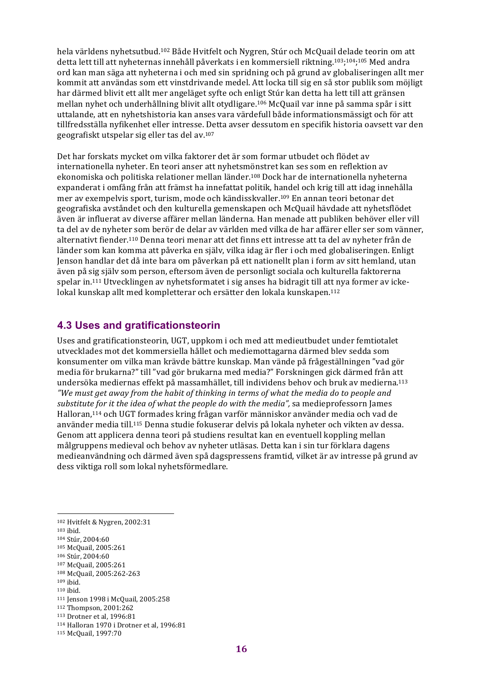hela världens nyhetsutbud.<sup>102</sup> Både Hyitfelt och Nygren, Stúr och McQuail delade teorin om att detta lett till att nyheternas innehåll påverkats i en kommersiell riktning.<sup>103</sup>;<sup>104</sup>;<sup>105</sup> Med andra ord kan man säga att nyheterna i och med sin spridning och på grund av globaliseringen allt mer kommit att användas som ett vinstdrivande medel. Att locka till sig en så stor publik som möjligt har därmed blivit ett allt mer angeläget syfte och enligt Stúr kan detta ha lett till att gränsen mellan nyhet och underhållning blivit allt otydligare.<sup>106</sup> McQuail var inne på samma spår i sitt uttalande, att en nyhetshistoria kan anses vara värdefull både informationsmässigt och för att tillfredsställa nyfikenhet eller intresse. Detta avser dessutom en specifik historia oavsett var den geografiskt utspelar sig eller tas del av.<sup>107</sup>

Det har forskats mycket om vilka faktorer det är som formar utbudet och flödet av internationella nyheter. En teori anser att nyhetsmönstret kan ses som en reflektion av ekonomiska och politiska relationer mellan länder.<sup>108</sup> Dock har de internationella nyheterna expanderat i omfång från att främst ha innefattat politik, handel och krig till att idag innehålla mer av exempelvis sport, turism, mode och kändisskvaller.<sup>109</sup> En annan teori betonar det geografiska avståndet och den kulturella gemenskapen och McQuail hävdade att nyhetsflödet även är influerat av diverse affärer mellan länderna. Han menade att publiken behöver eller vill ta del av de nyheter som berör de delar av världen med vilka de har affärer eller ser som vänner, alternativt fiender.<sup>110</sup> Denna teori menar att det finns ett intresse att ta del av nyheter från de länder som kan komma att påverka en själv, vilka idag är fler i och med globaliseringen. Enligt Jenson handlar det då inte bara om påverkan på ett nationellt plan i form av sitt hemland, utan även på sig själv som person, eftersom även de personligt sociala och kulturella faktorerna spelar in.<sup>111</sup> Utvecklingen av nyhetsformatet i sig anses ha bidragit till att nya former av ickelokal kunskap allt med kompletterar och ersätter den lokala kunskapen.<sup>112</sup>

#### **4.3 Uses and gratificationsteorin**

Uses and gratificationsteorin, UGT, uppkom i och med att medieutbudet under femtiotalet utvecklades mot det kommersiella hållet och mediemottagarna därmed blev sedda som konsumenter om vilka man krävde bättre kunskap. Man vände på frågeställningen "vad gör media för brukarna?" till "vad gör brukarna med media?" Forskningen gick därmed från att undersöka mediernas effekt på massamhället, till individens behov och bruk av medierna.<sup>113</sup> "We must get away from the habit of thinking in terms of what the media do to people and *substitute for it the idea of what the people do with the media"*, sa medieprofessorn James Halloran,<sup>114</sup> och UGT formades kring frågan varför människor använder media och vad de använder media till.<sup>115</sup> Denna studie fokuserar delvis på lokala nyheter och vikten av dessa. Genom att applicera denna teori på studiens resultat kan en eventuell koppling mellan målgruppens medieval och behov av nyheter utläsas. Detta kan i sin tur förklara dagens medieanvändning och därmed även spå dagspressens framtid, vilket är av intresse på grund av dess viktiga roll som lokal nyhetsförmedlare.

 

<sup>103</sup> ibid.

- 106 Stúr, 2004:60
- 107 McQuail, 2005:261 108 McQuail, 2005:262-263
- $109$  ibid.
- <sup>110</sup> ibid.

- 112 Thompson, 2001:262
- 113 Drotner et al, 1996:81

<sup>102</sup> Hvitfelt & Nygren, 2002:31

<sup>104</sup> Stúr, 2004:60

<sup>105</sup> McQuail, 2005:261

<sup>111</sup> Jenson 1998 i McQuail, 2005:258

<sup>114</sup> Halloran 1970 i Drotner et al, 1996:81

<sup>115</sup> McQuail, 1997:70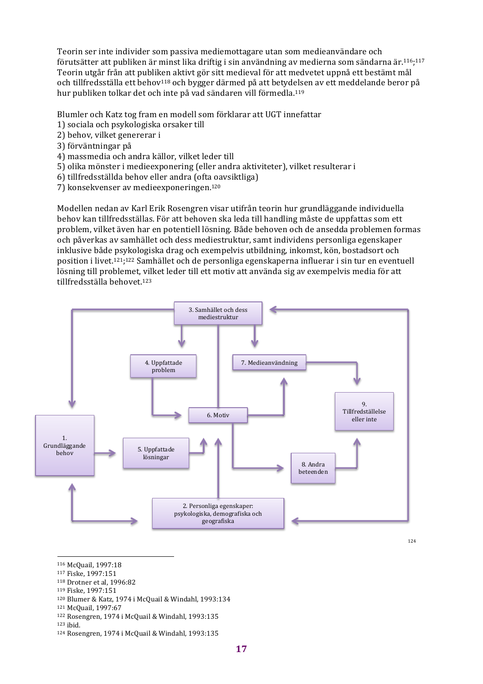Teorin ser inte individer som passiva mediemottagare utan som medieanvändare och förutsätter att publiken är minst lika driftig i sin användning av medierna som sändarna är.<sup>116</sup>;<sup>117</sup> Teorin utgår från att publiken aktivt gör sitt medieval för att medvetet uppnå ett bestämt mål och tillfredsställa ett behov<sup>118</sup> och bygger därmed på att betydelsen av ett meddelande beror på hur publiken tolkar det och inte på vad sändaren vill förmedla.<sup>119</sup>

Blumler och Katz tog fram en modell som förklarar att UGT innefattar

- 1) sociala och psykologiska orsaker till
- 2) behov, vilket genererar i
- 3) förväntningar på
- 4) massmedia och andra källor, vilket leder till
- 5) olika mönster i medieexponering (eller andra aktiviteter), vilket resulterar i
- 6) tillfredsställda behov eller andra (ofta oavsiktliga)
- 7) konsekvenser av medieexponeringen.<sup>120</sup>

Modellen nedan av Karl Erik Rosengren visar utifrån teorin hur grundläggande individuella behov kan tillfredsställas. För att behoven ska leda till handling måste de uppfattas som ett problem, vilket även har en potentiell lösning. Både behoven och de ansedda problemen formas och påverkas av samhället och dess mediestruktur, samt individens personliga egenskaper inklusive både psykologiska drag och exempelvis utbildning, inkomst, kön, bostadsort och position i livet.<sup>121</sup>;<sup>122</sup> Samhället och de personliga egenskaperna influerar i sin tur en eventuell lösning till problemet, vilket leder till ett motiv att använda sig av exempelvis media för att tillfredsställa behovet.<sup>123</sup>



- 116 McQuail, 1997:18
- 117 Fiske, 1997:151
- 118 Drotner et al, 1996:82
- 119 Fiske, 1997:151
- 120 Blumer & Katz, 1974 i McQuail & Windahl, 1993:134
- 121 McQuail, 1997:67
- 122 Rosengren, 1974 i McQuail & Windahl, 1993:135

<sup>123</sup> ibid.

 $124$  Rosengren, 1974 i McQuail & Windahl, 1993:135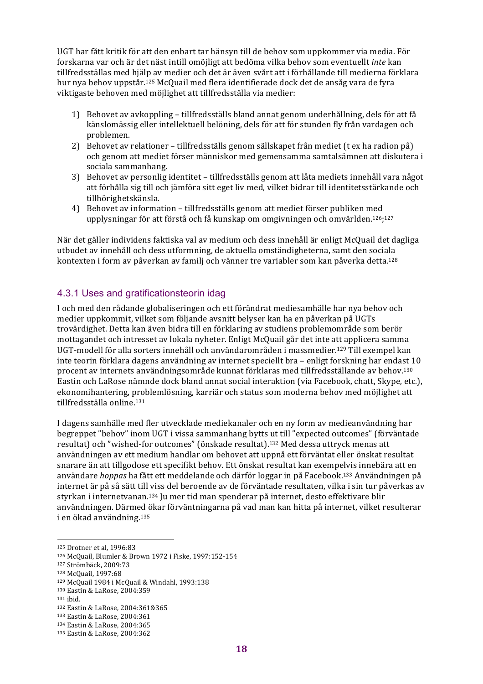UGT har fått kritik för att den enbart tar hänsyn till de behov som uppkommer via media. För forskarna var och är det näst intill omöjligt att bedöma vilka behov som eventuellt *inte* kan tillfredsställas med hjälp av medier och det är även svårt att i förhållande till medierna förklara hur nya behov uppstår.<sup>125</sup> McQuail med flera identifierade dock det de ansåg vara de fyra viktigaste behoven med möjlighet att tillfredsställa via medier:

- 1) Behovet av avkoppling tillfredsställs bland annat genom underhållning, dels för att få känslomässig eller intellektuell belöning, dels för att för stunden fly från vardagen och problemen.
- 2) Behovet av relationer tillfredsställs genom sällskapet från mediet (t ex ha radion på) och genom att mediet förser människor med gemensamma samtalsämnen att diskutera i sociala sammanhang.
- 3) Behovet av personlig identitet tillfredsställs genom att låta mediets innehåll vara något att förhålla sig till och jämföra sitt eget liv med, vilket bidrar till identitetsstärkande och tillhörighetskänsla.
- 4) Behovet av information tillfredsställs genom att mediet förser publiken med upplysningar för att förstå och få kunskap om omgivningen och omvärlden.<sup>126</sup>;<sup>127</sup>

När det gäller individens faktiska val av medium och dess innehåll är enligt McQuail det dagliga utbudet av innehåll och dess utformning, de aktuella omständigheterna, samt den sociala kontexten i form av påverkan av familj och vänner tre variabler som kan påverka detta.<sup>128</sup>

#### 4.3.1 Uses and gratificationsteorin idag

I och med den rådande globaliseringen och ett förändrat mediesamhälle har nya behov och medier uppkommit, vilket som följande avsnitt belyser kan ha en påverkan på UGTs trovärdighet. Detta kan även bidra till en förklaring av studiens problemområde som berör mottagandet och intresset av lokala nyheter. Enligt McQuail går det inte att applicera samma UGT-modell för alla sorters innehåll och användarområden i massmedier.<sup>129</sup> Till exempel kan inte teorin förklara dagens användning av internet speciellt bra – enligt forskning har endast  $10$ procent av internets användningsområde kunnat förklaras med tillfredsställande av behov.<sup>130</sup> Eastin och LaRose nämnde dock bland annat social interaktion (via Facebook, chatt, Skype, etc.), ekonomihantering, problemlösning, karriär och status som moderna behov med möjlighet att tillfredsställa online.131

I dagens samhälle med fler utvecklade mediekanaler och en ny form av medieanvändning har begreppet "behov" inom UGT i vissa sammanhang bytts ut till "expected outcomes" (förväntade resultat) och "wished-for outcomes" (önskade resultat).<sup>132</sup> Med dessa uttryck menas att användningen av ett medium handlar om behovet att uppnå ett förväntat eller önskat resultat snarare än att tillgodose ett specifikt behov. Ett önskat resultat kan exempelvis innebära att en användare *hoppas* ha fått ett meddelande och därför loggar in på Facebook.<sup>133</sup> Användningen på internet är på så sätt till viss del beroende av de förväntade resultaten, vilka i sin tur påverkas av styrkan i internetvanan.<sup>134</sup> Ju mer tid man spenderar på internet, desto effektivare blir användningen. Därmed ökar förväntningarna på vad man kan hitta på internet, vilket resulterar i en ökad användning.<sup>135</sup>

<sup>125</sup> Drotner et al. 1996:83

<sup>126</sup> McQuail, Blumler & Brown 1972 i Fiske, 1997:152-154

<sup>127</sup> Strömbäck, 2009:73

<sup>128</sup> McQuail, 1997:68

<sup>129</sup> McQuail 1984 i McQuail & Windahl, 1993:138

<sup>130</sup> Eastin & LaRose, 2004:359

<sup>131</sup> ibid.

<sup>132</sup> Eastin & LaRose, 2004:361&365

<sup>133</sup> Eastin & LaRose, 2004:361

<sup>134</sup> Eastin & LaRose, 2004:365

<sup>135</sup> Eastin & LaRose, 2004:362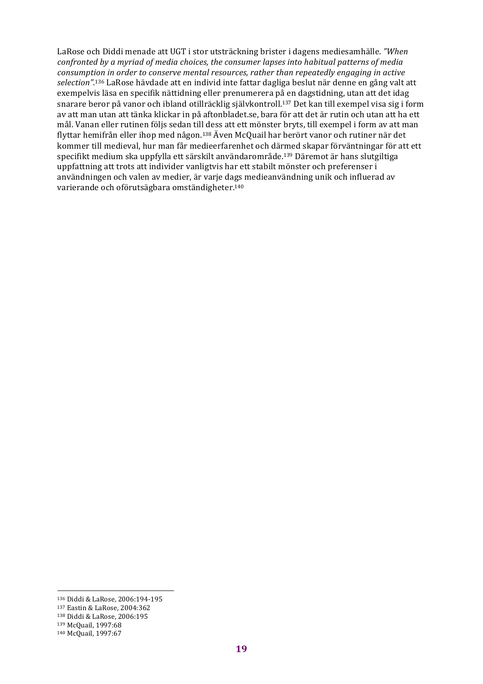LaRose och Diddi menade att UGT i stor utsträckning brister i dagens mediesamhälle. "When *confronted by a myriad of media choices, the consumer lapses into habitual patterns of media consumption in order to conserve mental resources, rather than repeatedly engaging in active selection"*.<sup>136</sup> LaRose hävdade att en individ inte fattar dagliga beslut när denne en gång valt att exempelvis läsa en specifik nättidning eller prenumerera på en dagstidning, utan att det idag snarare beror på vanor och ibland otillräcklig självkontroll.<sup>137</sup> Det kan till exempel visa sig i form av att man utan att tänka klickar in på aftonbladet.se, bara för att det är rutin och utan att ha ett mål. Vanan eller rutinen följs sedan till dess att ett mönster bryts, till exempel i form av att man flyttar hemifrån eller ihop med någon.<sup>138</sup> Även McQuail har berört vanor och rutiner när det kommer till medieval, hur man får medieerfarenhet och därmed skapar förväntningar för att ett specifikt medium ska uppfylla ett särskilt användarområde.<sup>139</sup> Däremot är hans slutgiltiga uppfattning att trots att individer vanligtvis har ett stabilt mönster och preferenser i användningen och valen av medier, är varje dags medieanvändning unik och influerad av varierande och oförutsägbara omständigheter.<sup>140</sup>

 136 Diddi & LaRose, 2006:194-195

<sup>137</sup> Eastin & LaRose, 2004:362

<sup>138</sup> Diddi & LaRose, 2006:195

<sup>139</sup> McQuail, 1997:68

<sup>140</sup> McQuail, 1997:67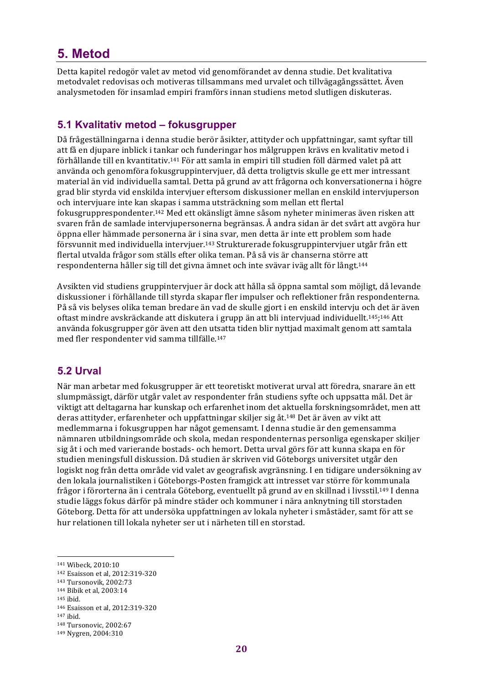# **5. Metod**

Detta kapitel redogör valet av metod vid genomförandet av denna studie. Det kvalitativa metodvalet redovisas och motiveras tillsammans med urvalet och tillvägagångssättet. Även analysmetoden för insamlad empiri framförs innan studiens metod slutligen diskuteras.

#### **5.1 Kvalitativ metod – fokusgrupper**

Då frågeställningarna i denna studie berör åsikter, attityder och uppfattningar, samt syftar till att få en djupare inblick i tankar och funderingar hos målgruppen krävs en kvalitativ metod i förhållande till en kvantitativ. $^{141}$  För att samla in empiri till studien föll därmed valet på att använda och genomföra fokusgruppintervjuer, då detta troligtvis skulle ge ett mer intressant material än vid individuella samtal. Detta på grund av att frågorna och konversationerna i högre grad blir styrda vid enskilda interviuer eftersom diskussioner mellan en enskild interviuperson och intervjuare inte kan skapas i samma utsträckning som mellan ett flertal fokusgrupprespondenter.<sup>142</sup> Med ett okänsligt ämne såsom nyheter minimeras även risken att svaren från de samlade intervjupersonerna begränsas. Å andra sidan är det svårt att avgöra hur öppna eller hämmade personerna är i sina svar, men detta är inte ett problem som hade försvunnit med individuella intervjuer.<sup>143</sup> Strukturerade fokusgruppintervjuer utgår från ett flertal utvalda frågor som ställs efter olika teman. På så vis är chanserna större att respondenterna håller sig till det givna ämnet och inte svävar iväg allt för långt.<sup>144</sup>

Avsikten vid studiens gruppintervjuer är dock att hålla så öppna samtal som möjligt, då levande diskussioner i förhållande till styrda skapar fler impulser och reflektioner från respondenterna. På så vis belyses olika teman bredare än vad de skulle gjort i en enskild interviu och det är även oftast mindre avskräckande att diskutera i grupp än att bli intervjuad individuellt.<sup>145</sup>;<sup>146</sup> Att använda fokusgrupper gör även att den utsatta tiden blir nyttjad maximalt genom att samtala med fler respondenter vid samma tillfälle.<sup>147</sup>

## **5.2 Urval**

När man arbetar med fokusgrupper är ett teoretiskt motiverat urval att föredra, snarare än ett slumpmässigt, därför utgår valet av respondenter från studiens syfte och uppsatta mål. Det är viktigt att deltagarna har kunskap och erfarenhet inom det aktuella forskningsområdet, men att deras attityder, erfarenheter och uppfattningar skiljer sig åt.<sup>148</sup> Det är även av vikt att medlemmarna i fokusgruppen har något gemensamt. I denna studie är den gemensamma nämnaren utbildningsområde och skola, medan respondenternas personliga egenskaper skiljer sig åt i och med varierande bostads- och hemort. Detta urval görs för att kunna skapa en för studien meningsfull diskussion. Då studien är skriven vid Göteborgs universitet utgår den logiskt nog från detta område vid valet av geografisk avgränsning. I en tidigare undersökning av den lokala journalistiken i Göteborgs-Posten framgick att intresset var större för kommunala frågor i förorterna än i centrala Göteborg, eventuellt på grund av en skillnad i livsstil.<sup>149</sup> I denna studie läggs fokus därför på mindre städer och kommuner i nära anknytning till storstaden Göteborg. Detta för att undersöka uppfattningen av lokala nyheter i småstäder, samt för att se hur relationen till lokala nyheter ser ut i närheten till en storstad.

<sup>141</sup> Wibeck, 2010:10

<sup>142</sup> Esaisson et al, 2012:319-320

<sup>143</sup> Tursonovik, 2002:73

<sup>144</sup> Bibik et al, 2003:14

<sup>145</sup> ibid.

<sup>146</sup> Esaisson et al, 2012:319-320

<sup>147</sup> ibid.

<sup>148</sup> Tursonovic, 2002:67

<sup>149</sup> Nygren, 2004:310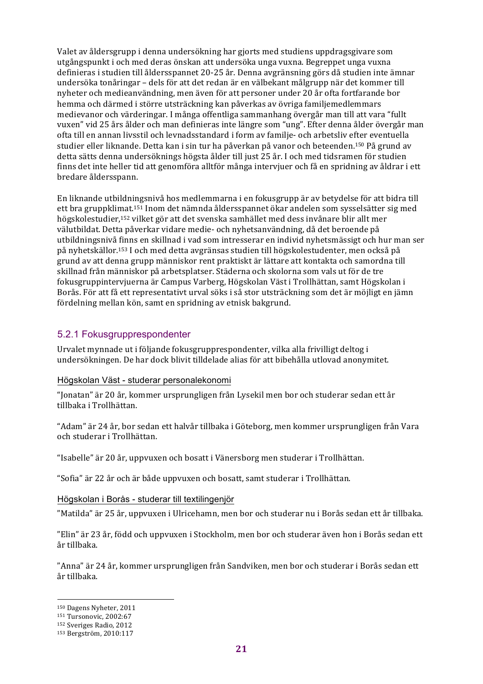Valet av åldersgrupp i denna undersökning har gjorts med studiens uppdragsgivare som utgångspunkt i och med deras önskan att undersöka unga vuxna. Begreppet unga vuxna definieras i studien till åldersspannet 20-25 år. Denna avgränsning görs då studien inte ämnar undersöka tonåringar – dels för att det redan är en välbekant målgrupp när det kommer till nyheter och medieanvändning, men även för att personer under 20 år ofta fortfarande bor hemma och därmed i större utsträckning kan påverkas av övriga familjemedlemmars medievanor och värderingar. I många offentliga sammanhang övergår man till att vara "fullt vuxen" vid 25 års ålder och man definieras inte längre som "ung". Efter denna ålder övergår man ofta till en annan livsstil och levnadsstandard i form av familje- och arbetsliv efter eventuella studier eller liknande. Detta kan i sin tur ha påverkan på vanor och beteenden.<sup>150</sup> På grund av detta sätts denna undersöknings högsta ålder till just 25 år. I och med tidsramen för studien finns det inte heller tid att genomföra alltför många interviuer och få en spridning av åldrar i ett bredare åldersspann.

En liknande utbildningsnivå hos medlemmarna i en fokusgrupp är av betydelse för att bidra till ett bra gruppklimat.<sup>151</sup> Inom det nämnda åldersspannet ökar andelen som sysselsätter sig med högskolestudier,<sup>152</sup> vilket gör att det svenska samhället med dess invånare blir allt mer välutbildat. Detta påverkar vidare medie- och nyhetsanvändning, då det beroende på utbildningsnivå finns en skillnad i vad som intresserar en individ nyhetsmässigt och hur man ser på nyhetskällor.<sup>153</sup> I och med detta avgränsas studien till högskolestudenter, men också på grund av att denna grupp människor rent praktiskt är lättare att kontakta och samordna till skillnad från människor på arbetsplatser. Städerna och skolorna som vals ut för de tre fokusgruppintervjuerna är Campus Varberg, Högskolan Väst i Trollhättan, samt Högskolan i Borås. För att få ett representativt urval söks i så stor utsträckning som det är möjligt en jämn fördelning mellan kön, samt en spridning av etnisk bakgrund.

#### 5.2.1 Fokusgrupprespondenter

Urvalet mynnade ut i följande fokusgrupprespondenter, vilka alla frivilligt deltog i undersökningen. De har dock blivit tilldelade alias för att bibehålla utlovad anonymitet.

#### Högskolan Väst - studerar personalekonomi

"Jonatan" är 20 år, kommer ursprungligen från Lysekil men bor och studerar sedan ett år tillbaka i Trollhättan.

"Adam" är 24 år, bor sedan ett halvår tillbaka i Göteborg, men kommer ursprungligen från Vara och studerar i Trollhättan.

"Isabelle" är 20 år, uppvuxen och bosatt i Vänersborg men studerar i Trollhättan.

"Sofia" är 22 år och är både uppvuxen och bosatt, samt studerar i Trollhättan.

#### Högskolan i Borås - studerar till textilingenjör

"Matilda" är 25 år, uppvuxen i Ulricehamn, men bor och studerar nu i Borås sedan ett år tillbaka.

"Elin" är 23 år, född och uppvuxen i Stockholm, men bor och studerar även hon i Borås sedan ett år tillbaka.

"Anna" är 24 år, kommer ursprungligen från Sandviken, men bor och studerar i Borås sedan ett år tillbaka.

<sup>&</sup>lt;sup>150</sup> Dagens Nyheter, 2011

<sup>151</sup> Tursonovic, 2002:67

<sup>152</sup> Sveriges Radio, 2012

<sup>153</sup> Bergström, 2010:117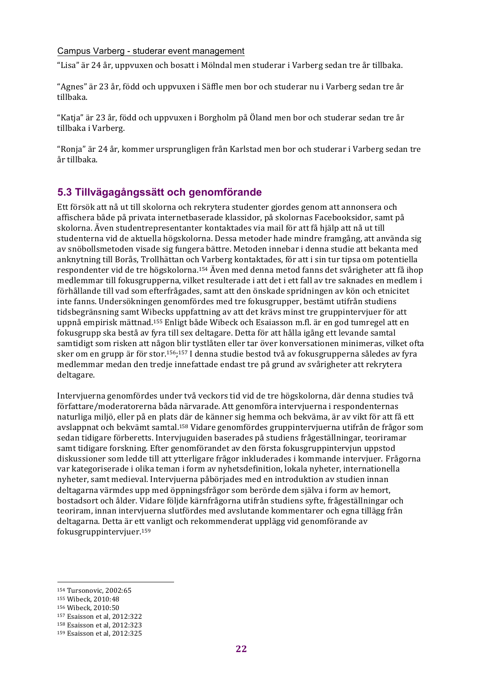#### Campus Varberg - studerar event management

"Lisa" är 24 år, uppvuxen och bosatt i Mölndal men studerar i Varberg sedan tre år tillbaka.

"Agnes" är 23 år, född och uppvuxen i Säffle men bor och studerar nu i Varberg sedan tre år tillbaka.

"Katja" är 23 år, född och uppvuxen i Borgholm på Öland men bor och studerar sedan tre år tillbaka i Varberg.

"Ronja" är 24 år, kommer ursprungligen från Karlstad men bor och studerar i Varberg sedan tre år tillbaka.

## **5.3 Tillvägagångssätt och genomförande**

Ett försök att nå ut till skolorna och rekrytera studenter gjordes genom att annonsera och affischera både på privata internetbaserade klassidor, på skolornas Facebooksidor, samt på skolorna. Även studentrepresentanter kontaktades via mail för att få hjälp att nå ut till studenterna vid de aktuella högskolorna. Dessa metoder hade mindre framgång, att använda sig av snöbollsmetoden visade sig fungera bättre. Metoden innebar i denna studie att bekanta med anknytning till Borås, Trollhättan och Varberg kontaktades, för att i sin tur tipsa om potentiella respondenter vid de tre högskolorna.<sup>154</sup> Även med denna metod fanns det svårigheter att få ihop medlemmar till fokusgrupperna, vilket resulterade i att det i ett fall av tre saknades en medlem i förhållande till vad som efterfrågades, samt att den önskade spridningen av kön och etnicitet inte fanns. Undersökningen genomfördes med tre fokusgrupper, bestämt utifrån studiens tidsbegränsning samt Wibecks uppfattning av att det krävs minst tre gruppintervjuer för att uppnå empirisk mättnad.<sup>155</sup> Enligt både Wibeck och Esaiasson m.fl. är en god tumregel att en fokusgrupp ska bestå av fyra till sex deltagare. Detta för att hålla igång ett levande samtal samtidigt som risken att någon blir tystlåten eller tar över konversationen minimeras, vilket ofta sker om en grupp är för stor.<sup>156</sup>;<sup>157</sup> I denna studie bestod två av fokusgrupperna således av fyra medlemmar medan den tredje innefattade endast tre på grund av svårigheter att rekrytera deltagare. 

Intervjuerna genomfördes under två veckors tid vid de tre högskolorna, där denna studies två författare/moderatorerna båda närvarade. Att genomföra intervjuerna i respondenternas naturliga miljö, eller på en plats där de känner sig hemma och bekväma, är av vikt för att få ett avslappnat och bekvämt samtal.<sup>158</sup> Vidare genomfördes gruppintervjuerna utifrån de frågor som sedan tidigare förberetts. Intervjuguiden baserades på studiens frågeställningar, teoriramar samt tidigare forskning. Efter genomförandet av den första fokusgruppintervjun uppstod diskussioner som ledde till att ytterligare frågor inkluderades i kommande intervjuer. Frågorna var kategoriserade i olika teman i form av nyhetsdefinition, lokala nyheter, internationella nyheter, samt medieval. Intervjuerna påbörjades med en introduktion av studien innan deltagarna värmdes upp med öppningsfrågor som berörde dem själva i form av hemort, bostadsort och ålder. Vidare följde kärnfrågorna utifrån studiens syfte, frågeställningar och teoriram, innan intervjuerna slutfördes med avslutande kommentarer och egna tillägg från deltagarna. Detta är ett vanligt och rekommenderat upplägg vid genomförande av fokusgruppintervjuer.159

<sup>154</sup> Tursonovic, 2002:65

<sup>155</sup> Wibeck, 2010:48

<sup>156</sup> Wibeck, 2010:50

<sup>157</sup> Esaisson et al, 2012:322

<sup>158</sup> Esaisson et al, 2012:323

<sup>159</sup> Esaisson et al, 2012:325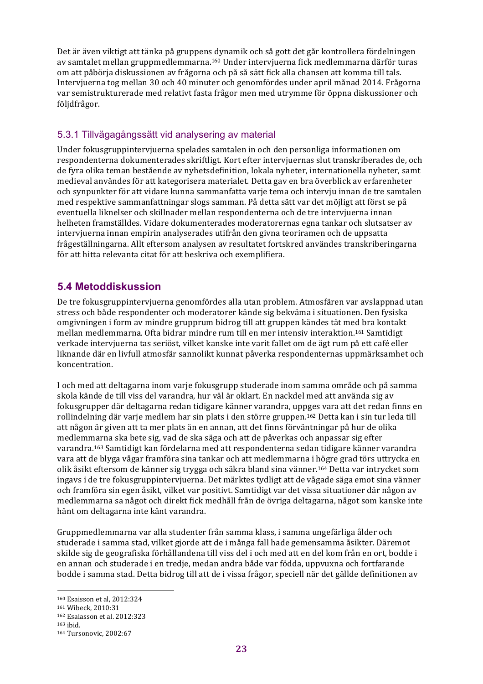Det är även viktigt att tänka på gruppens dynamik och så gott det går kontrollera fördelningen av samtalet mellan gruppmedlemmarna.<sup>160</sup> Under intervjuerna fick medlemmarna därför turas om att påbörja diskussionen av frågorna och på så sätt fick alla chansen att komma till tals. Intervjuerna tog mellan 30 och 40 minuter och genomfördes under april månad 2014. Frågorna var semistrukturerade med relativt fasta frågor men med utrymme för öppna diskussioner och följdfrågor.

#### 5.3.1 Tillvägagångssätt vid analysering av material

Under fokusgruppintervjuerna spelades samtalen in och den personliga informationen om respondenterna dokumenterades skriftligt. Kort efter interviuernas slut transkriberades de, och de fyra olika teman bestående av nyhetsdefinition, lokala nyheter, internationella nyheter, samt medieval användes för att kategorisera materialet. Detta gav en bra överblick av erfarenheter och synpunkter för att vidare kunna sammanfatta varje tema och intervju innan de tre samtalen med respektive sammanfattningar slogs samman. På detta sätt var det möjligt att först se på eventuella liknelser och skillnader mellan respondenterna och de tre intervjuerna innan helheten framställdes. Vidare dokumenterades moderatorernas egna tankar och slutsatser av intervjuerna innan empirin analyserades utifrån den givna teoriramen och de uppsatta frågeställningarna. Allt eftersom analysen av resultatet fortskred användes transkriberingarna för att hitta relevanta citat för att beskriva och exemplifiera.

## **5.4 Metoddiskussion**

De tre fokusgruppintervjuerna genomfördes alla utan problem. Atmosfären var avslappnad utan stress och både respondenter och moderatorer kände sig bekväma i situationen. Den fysiska omgivningen i form av mindre grupprum bidrog till att gruppen kändes tät med bra kontakt mellan medlemmarna. Ofta bidrar mindre rum till en mer intensiv interaktion.<sup>161</sup> Samtidigt verkade intervjuerna tas seriöst, vilket kanske inte varit fallet om de ägt rum på ett café eller liknande där en livfull atmosfär sannolikt kunnat påverka respondenternas uppmärksamhet och koncentration.

I och med att deltagarna inom varje fokusgrupp studerade inom samma område och på samma skola kände de till viss del varandra, hur väl är oklart. En nackdel med att använda sig av fokusgrupper där deltagarna redan tidigare känner varandra, uppges vara att det redan finns en rollindelning där varje medlem har sin plats i den större gruppen.<sup>162</sup> Detta kan i sin tur leda till att någon är given att ta mer plats än en annan, att det finns förväntningar på hur de olika medlemmarna ska bete sig, vad de ska säga och att de påverkas och anpassar sig efter varandra.<sup>163</sup> Samtidigt kan fördelarna med att respondenterna sedan tidigare känner varandra vara att de blyga vågar framföra sina tankar och att medlemmarna i högre grad törs uttrycka en olik åsikt eftersom de känner sig trygga och säkra bland sina vänner.<sup>164</sup> Detta var intrycket som ingavs i de tre fokusgruppintervjuerna. Det märktes tydligt att de vågade säga emot sina vänner och framföra sin egen åsikt, vilket var positivt. Samtidigt var det vissa situationer där någon av medlemmarna sa något och direkt fick medhåll från de övriga deltagarna, något som kanske inte hänt om deltagarna inte känt varandra.

Gruppmedlemmarna var alla studenter från samma klass, i samma ungefärliga ålder och studerade i samma stad, vilket gjorde att de i många fall hade gemensamma åsikter. Däremot skilde sig de geografiska förhållandena till viss del i och med att en del kom från en ort, bodde i en annan och studerade i en tredje, medan andra både var födda, uppvuxna och fortfarande bodde i samma stad. Detta bidrog till att de i vissa frågor, speciell när det gällde definitionen av

<sup>160</sup> Esaisson et al, 2012:324

<sup>161</sup> Wibeck, 2010:31

<sup>162</sup> Esaiasson et al. 2012:323

<sup>163</sup> ibid.

<sup>164</sup> Tursonovic, 2002:67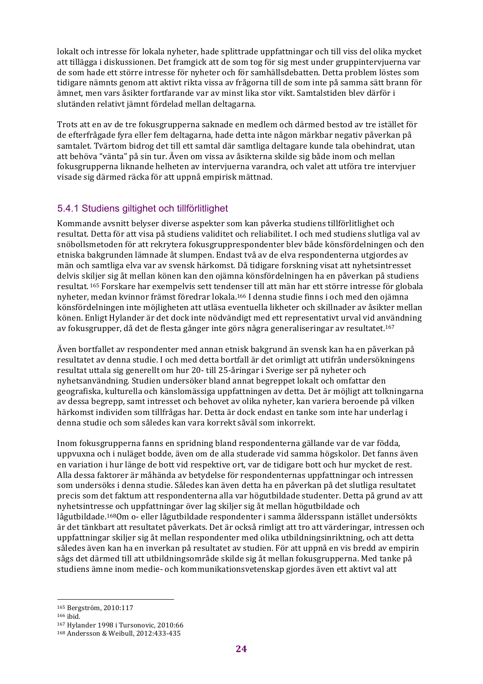lokalt och intresse för lokala nyheter, hade splittrade uppfattningar och till viss del olika mycket att tillägga i diskussionen. Det framgick att de som tog för sig mest under gruppintervjuerna var de som hade ett större intresse för nyheter och för samhällsdebatten. Detta problem löstes som tidigare nämnts genom att aktivt rikta vissa av frågorna till de som inte på samma sätt brann för ämnet, men vars åsikter fortfarande var av minst lika stor vikt. Samtalstiden blev därför i slutänden relativt jämnt fördelad mellan deltagarna.

Trots att en av de tre fokusgrupperna saknade en medlem och därmed bestod av tre istället för de efterfrågade fyra eller fem deltagarna, hade detta inte någon märkbar negativ påverkan på samtalet. Tvärtom bidrog det till ett samtal där samtliga deltagare kunde tala obehindrat, utan att behöva "vänta" på sin tur. Även om vissa av åsikterna skilde sig både inom och mellan fokusgrupperna liknande helheten av interviuerna varandra, och valet att utföra tre interviuer visade sig därmed räcka för att uppnå empirisk mättnad.

## 5.4.1 Studiens giltighet och tillförlitlighet

Kommande avsnitt belyser diverse aspekter som kan påverka studiens tillförlitlighet och resultat. Detta för att visa på studiens validitet och reliabilitet. I och med studiens slutliga val av snöbollsmetoden för att rekrytera fokusgrupprespondenter blev både könsfördelningen och den etniska bakgrunden lämnade åt slumpen. Endast två av de elva respondenterna utgjordes av män och samtliga elva var av svensk härkomst. Då tidigare forskning visat att nyhetsintresset delvis skiljer sig åt mellan könen kan den ojämna könsfördelningen ha en påverkan på studiens resultat. <sup>165</sup> Forskare har exempelvis sett tendenser till att män har ett större intresse för globala nyheter, medan kvinnor främst föredrar lokala.<sup>166</sup> I denna studie finns i och med den ojämna könsfördelningen inte möjligheten att utläsa eventuella likheter och skillnader av åsikter mellan könen. Enligt Hylander är det dock inte nödvändigt med ett representativt urval vid användning av fokusgrupper, då det de flesta gånger inte görs några generaliseringar av resultatet.<sup>167</sup>

Även bortfallet av respondenter med annan etnisk bakgrund än svensk kan ha en påverkan på resultatet av denna studie. I och med detta bortfall är det orimligt att utifrån undersökningens resultat uttala sig generellt om hur 20- till 25-åringar i Sverige ser på nyheter och nyhetsanvändning. Studien undersöker bland annat begreppet lokalt och omfattar den geografiska, kulturella och känslomässiga uppfattningen av detta. Det är möjligt att tolkningarna av dessa begrepp, samt intresset och behovet av olika nyheter, kan variera beroende på vilken härkomst individen som tillfrågas har. Detta är dock endast en tanke som inte har underlag i denna studie och som således kan vara korrekt såväl som inkorrekt.

Inom fokusgrupperna fanns en spridning bland respondenterna gällande var de var födda, uppvuxna och i nuläget bodde, även om de alla studerade vid samma högskolor. Det fanns även en variation i hur länge de bott vid respektive ort, var de tidigare bott och hur mycket de rest. Alla dessa faktorer är måhända av betydelse för respondenternas uppfattningar och intressen som undersöks i denna studie. Således kan även detta ha en påverkan på det slutliga resultatet precis som det faktum att respondenterna alla var högutbildade studenter. Detta på grund av att nyhetsintresse och uppfattningar över lag skiljer sig åt mellan högutbildade och lågutbildade.<sup>168</sup>Om o- eller lågutbildade respondenter i samma åldersspann istället undersökts är det tänkbart att resultatet påverkats. Det är också rimligt att tro att värderingar, intressen och uppfattningar skiljer sig åt mellan respondenter med olika utbildningsinriktning, och att detta således även kan ha en inverkan på resultatet av studien. För att uppnå en vis bredd av empirin sågs det därmed till att utbildningsområde skilde sig åt mellan fokusgrupperna. Med tanke på studiens ämne inom medie- och kommunikationsvetenskap gjordes även ett aktivt val att

<sup>165</sup> Bergström, 2010:117

<sup>166</sup> ibid.

<sup>167</sup> Hylander 1998 i Tursonovic, 2010:66

<sup>168</sup> Andersson & Weibull, 2012:433-435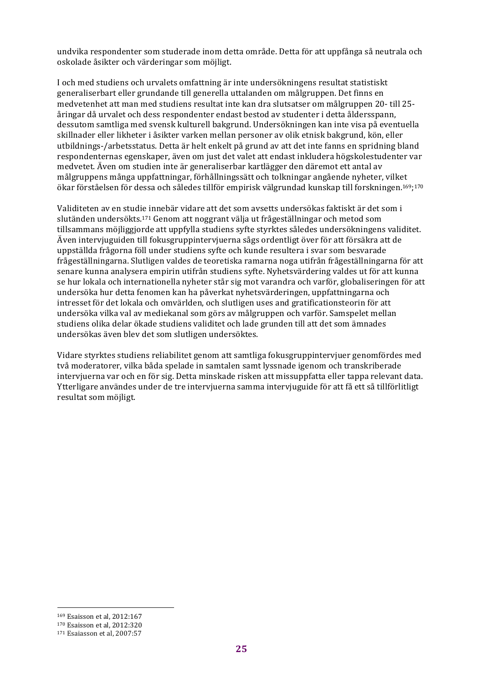undvika respondenter som studerade inom detta område. Detta för att uppfånga så neutrala och oskolade åsikter och värderingar som möjligt.

I och med studiens och urvalets omfattning är inte undersökningens resultat statistiskt generaliserbart eller grundande till generella uttalanden om målgruppen. Det finns en medvetenhet att man med studiens resultat inte kan dra slutsatser om målgruppen 20- till 25åringar då urvalet och dess respondenter endast bestod av studenter i detta åldersspann, dessutom samtliga med svensk kulturell bakgrund. Undersökningen kan inte visa på eventuella skillnader eller likheter i åsikter varken mellan personer av olik etnisk bakgrund, kön, eller utbildnings-/arbetsstatus. Detta är helt enkelt på grund av att det inte fanns en spridning bland respondenternas egenskaper, även om just det valet att endast inkludera högskolestudenter var medvetet. Även om studien inte är generaliserbar kartlägger den däremot ett antal av målgruppens många uppfattningar, förhållningssätt och tolkningar angående nyheter, vilket ökar förståelsen för dessa och således tillför empirisk välgrundad kunskap till forskningen.<sup>169</sup>;<sup>170</sup>

Validiteten av en studie innebär vidare att det som avsetts undersökas faktiskt är det som i slutänden undersökts.<sup>171</sup> Genom att noggrant välja ut frågeställningar och metod som tillsammans möjliggjorde att uppfylla studiens syfte styrktes således undersökningens validitet. Även intervjuguiden till fokusgruppintervjuerna sågs ordentligt över för att försäkra att de uppställda frågorna föll under studiens syfte och kunde resultera i svar som besvarade frågeställningarna. Slutligen valdes de teoretiska ramarna noga utifrån frågeställningarna för att senare kunna analysera empirin utifrån studiens syfte. Nyhetsvärdering valdes ut för att kunna se hur lokala och internationella nyheter står sig mot varandra och varför, globaliseringen för att undersöka hur detta fenomen kan ha påverkat nyhetsvärderingen, uppfattningarna och intresset för det lokala och omvärlden, och slutligen uses and gratificationsteorin för att undersöka vilka val av mediekanal som görs av målgruppen och varför. Samspelet mellan studiens olika delar ökade studiens validitet och lade grunden till att det som ämnades undersökas även blev det som slutligen undersöktes.

Vidare styrktes studiens reliabilitet genom att samtliga fokusgruppintervjuer genomfördes med två moderatorer, vilka båda spelade in samtalen samt lyssnade igenom och transkriberade interviuerna var och en för sig. Detta minskade risken att missuppfatta eller tappa relevant data. Ytterligare användes under de tre intervjuerna samma intervjuguide för att få ett så tillförlitligt resultat som möjligt.

 <sup>169</sup> Esaisson et al, 2012:167

<sup>170</sup> Esaisson et al, 2012:320

<sup>171</sup> Esaiasson et al, 2007:57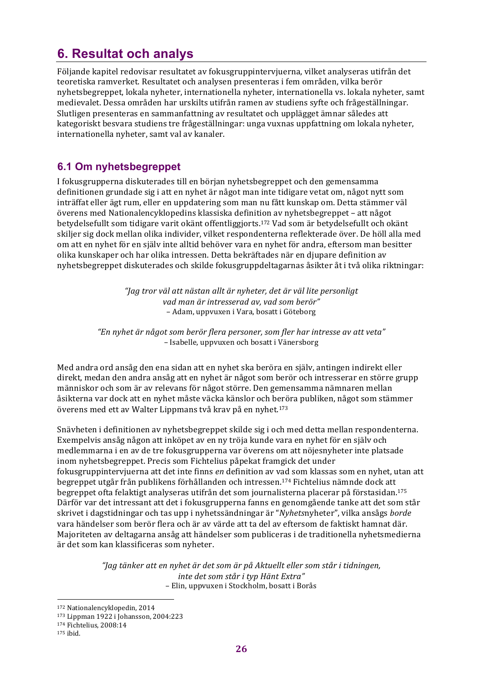# **6. Resultat och analys**

Följande kapitel redovisar resultatet av fokusgruppintervjuerna, vilket analyseras utifrån det teoretiska ramverket. Resultatet och analysen presenteras i fem områden, vilka berör nyhetsbegreppet, lokala nyheter, internationella nyheter, internationella vs. lokala nyheter, samt medievalet. Dessa områden har urskilts utifrån ramen av studiens syfte och frågeställningar. Slutligen presenteras en sammanfattning av resultatet och upplägget ämnar således att kategoriskt besvara studiens tre frågeställningar: unga vuxnas uppfattning om lokala nyheter, internationella nyheter, samt val av kanaler.

## **6.1 Om nyhetsbegreppet**

I fokusgrupperna diskuterades till en början nyhetsbegreppet och den gemensamma definitionen grundade sig i att en nyhet är något man inte tidigare vetat om, något nytt som inträffat eller ägt rum, eller en uppdatering som man nu fått kunskap om. Detta stämmer väl överens med Nationalencyklopedins klassiska definition av nyhetsbegreppet – att något betydelsefullt som tidigare varit okänt offentliggjorts.<sup>172</sup> Vad som är betydelsefullt och okänt skiljer sig dock mellan olika individer, vilket respondenterna reflekterade över. De höll alla med om att en nyhet för en själv inte alltid behöver vara en nyhet för andra, eftersom man besitter olika kunskaper och har olika intressen. Detta bekräftades när en djupare definition av nyhetsbegreppet diskuterades och skilde fokusgruppdeltagarnas åsikter åt i två olika riktningar:

> *"Jag tror väl att nästan allt är nyheter, det är väl lite personligt vad man är intresserad av, vad som berör"* – Adam, uppvuxen i Vara, bosatt i Göteborg

*"En nyhet är något som berör flera personer, som fler har intresse av att veta"* – Isabelle, uppvuxen och bosatt i Vänersborg

Med andra ord ansåg den ena sidan att en nyhet ska beröra en själv, antingen indirekt eller direkt, medan den andra ansåg att en nyhet är något som berör och intresserar en större grupp människor och som är av relevans för något större. Den gemensamma nämnaren mellan åsikterna var dock att en nyhet måste väcka känslor och beröra publiken, något som stämmer överens med ett av Walter Lippmans två krav på en nyhet.<sup>173</sup>

Snävheten i definitionen av nyhetsbegreppet skilde sig i och med detta mellan respondenterna. Exempelvis ansåg någon att inköpet av en ny tröja kunde vara en nyhet för en själv och medlemmarna i en av de tre fokusgrupperna var överens om att nöjesnyheter inte platsade inom nyhetsbegreppet. Precis som Fichtelius påpekat framgick det under fokusgruppintervjuerna att det inte finns *en* definition av vad som klassas som en nyhet, utan att begreppet utgår från publikens förhållanden och intressen.<sup>174</sup> Fichtelius nämnde dock att begreppet ofta felaktigt analyseras utifrån det som journalisterna placerar på förstasidan.<sup>175</sup> Därför var det intressant att det i fokusgrupperna fanns en genomgående tanke att det som står skrivet i dagstidningar och tas upp i nyhetssändningar är "*Nyhetsnyheter"*, vilka ansågs *borde* vara händelser som berör flera och är av värde att ta del av eftersom de faktiskt hamnat där. Majoriteten av deltagarna ansåg att händelser som publiceras i de traditionella nyhetsmedierna är det som kan klassificeras som nyheter.

> *"Jag tänker att en nyhet är det som är på Aktuellt eller som står i tidningen, inte det som står i typ Hänt Extra"* – Elin, uppvuxen i Stockholm, bosatt i Borås

<sup>172</sup> Nationalencyklopedin, 2014

<sup>173</sup> Lippman 1922 i Johansson, 2004:223

<sup>174</sup> Fichtelius, 2008:14

<sup>175</sup> ibid.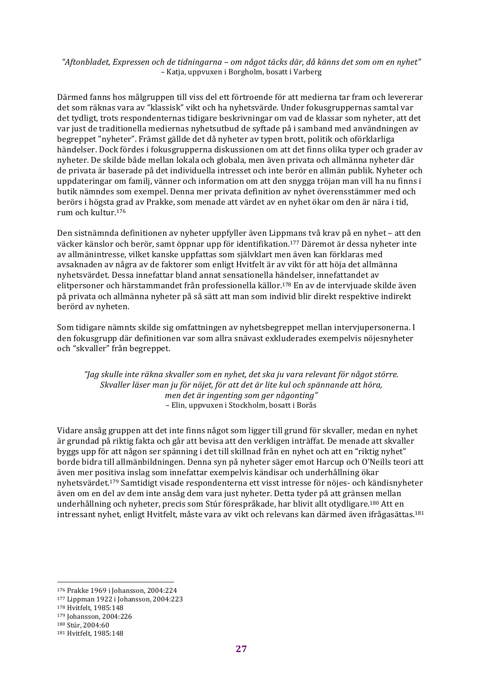*"Aftonbladet, Expressen och de tidningarna – om något täcks där, då känns det som om en nyhet"* – Katja, uppvuxen i Borgholm, bosatt i Varberg

Därmed fanns hos målgruppen till viss del ett förtroende för att medierna tar fram och levererar det som räknas vara av "klassisk" vikt och ha nyhetsvärde. Under fokusgruppernas samtal var det tydligt, trots respondenternas tidigare beskrivningar om vad de klassar som nyheter, att det var just de traditionella mediernas nyhetsutbud de syftade på i samband med användningen av begreppet "nyheter". Främst gällde det då nyheter av typen brott, politik och oförklarliga händelser. Dock fördes i fokusgrupperna diskussionen om att det finns olika typer och grader av nyheter. De skilde både mellan lokala och globala, men även privata och allmänna nyheter där de privata är baserade på det individuella intresset och inte berör en allmän publik. Nyheter och uppdateringar om familj, vänner och information om att den snygga tröjan man vill ha nu finns i butik nämndes som exempel. Denna mer privata definition av nyhet överensstämmer med och berörs i högsta grad av Prakke, som menade att värdet av en nyhet ökar om den är nära i tid, rum och kultur. 176

Den sistnämnda definitionen av nyheter uppfyller även Lippmans två krav på en nyhet – att den väcker känslor och berör, samt öppnar upp för identifikation.<sup>177</sup> Däremot är dessa nyheter inte av allmänintresse, vilket kanske uppfattas som självklart men även kan förklaras med avsaknaden av några av de faktorer som enligt Hvitfelt är av vikt för att höja det allmänna nyhetsvärdet. Dessa innefattar bland annat sensationella händelser, innefattandet av elitpersoner och härstammandet från professionella källor.<sup>178</sup> En av de intervjuade skilde även på privata och allmänna nyheter på så sätt att man som individ blir direkt respektive indirekt berörd av nyheten.

Som tidigare nämnts skilde sig omfattningen av nyhetsbegreppet mellan intervjupersonerna. I den fokusgrupp där definitionen var som allra snävast exkluderades exempelvis nöjesnyheter och "skvaller" från begreppet.

*"Jag skulle inte räkna skvaller som en nyhet, det ska ju vara relevant för något större. Skvaller läser man ju för nöjet, för att det är lite kul och spännande att höra, men det är ingenting som ger någonting"* – Elin, uppvuxen i Stockholm, bosatt i Borås

Vidare ansåg gruppen att det inte finns något som ligger till grund för skvaller, medan en nyhet är grundad på riktig fakta och går att bevisa att den verkligen inträffat. De menade att skvaller byggs upp för att någon ser spänning i det till skillnad från en nyhet och att en "riktig nyhet" borde bidra till allmänbildningen. Denna syn på nyheter säger emot Harcup och O'Neills teori att även mer positiva inslag som innefattar exempelvis kändisar och underhållning ökar nyhetsvärdet.<sup>179</sup> Samtidigt visade respondenterna ett visst intresse för nöjes- och kändisnyheter även om en del av dem inte ansåg dem vara just nyheter. Detta tyder på att gränsen mellan underhållning och nyheter, precis som Stúr förespråkade, har blivit allt otydligare.<sup>180</sup> Att en intressant nyhet, enligt Hvitfelt, måste vara av vikt och relevans kan därmed även ifrågasättas.<sup>181</sup>

 176 Prakke 1969 i Johansson, 2004:224

<sup>177</sup> Lippman 1922 i Johansson, 2004:223

<sup>178</sup> Hvitfelt, 1985:148

<sup>179</sup> Johansson, 2004:226

<sup>180</sup> Stúr, 2004:60

<sup>181</sup> Hvitfelt, 1985:148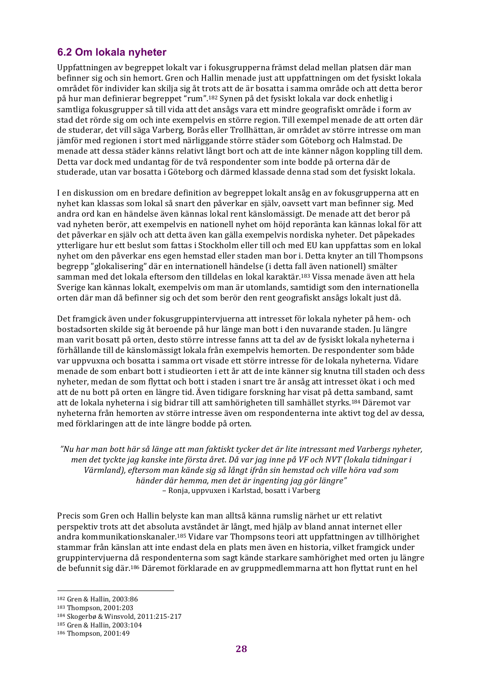## **6.2 Om lokala nyheter**

Uppfattningen av begreppet lokalt var i fokusgrupperna främst delad mellan platsen där man befinner sig och sin hemort. Gren och Hallin menade just att uppfattningen om det fysiskt lokala området för individer kan skilja sig åt trots att de är bosatta i samma område och att detta beror på hur man definierar begreppet "rum".<sup>182</sup> Synen på det fysiskt lokala var dock enhetlig i samtliga fokusgrupper så till vida att det ansågs vara ett mindre geografiskt område i form av stad det rörde sig om och inte exempelvis en större region. Till exempel menade de att orten där de studerar, det vill säga Varberg, Borås eller Trollhättan, är området av större intresse om man jämför med regionen i stort med närliggande större städer som Göteborg och Halmstad. De menade att dessa städer känns relativt långt bort och att de inte känner någon koppling till dem. Detta var dock med undantag för de två respondenter som inte bodde på orterna där de studerade, utan var bosatta i Göteborg och därmed klassade denna stad som det fysiskt lokala.

I en diskussion om en bredare definition av begreppet lokalt ansåg en av fokusgrupperna att en nyhet kan klassas som lokal så snart den påverkar en själv, oavsett vart man befinner sig. Med andra ord kan en händelse även kännas lokal rent känslomässigt. De menade att det beror på vad nyheten berör, att exempelvis en nationell nyhet om höjd reporänta kan kännas lokal för att det påverkar en själv och att detta även kan gälla exempelvis nordiska nyheter. Det påpekades ytterligare hur ett beslut som fattas i Stockholm eller till och med EU kan uppfattas som en lokal nyhet om den påverkar ens egen hemstad eller staden man bor i. Detta knyter an till Thompsons begrepp "glokalisering" där en internationell händelse (i detta fall även nationell) smälter samman med det lokala eftersom den tilldelas en lokal karaktär.<sup>183</sup> Vissa menade även att hela Sverige kan kännas lokalt, exempelvis om man är utomlands, samtidigt som den internationella orten där man då befinner sig och det som berör den rent geografiskt ansågs lokalt just då.

Det framgick även under fokusgruppinterviuerna att intresset för lokala nyheter på hem- och bostadsorten skilde sig åt beroende på hur länge man bott i den nuvarande staden. Ju längre man varit bosatt på orten, desto större intresse fanns att ta del av de fysiskt lokala nyheterna i förhållande till de känslomässigt lokala från exempelvis hemorten. De respondenter som både var uppvuxna och bosatta i samma ort visade ett större intresse för de lokala nyheterna. Vidare menade de som enbart bott i studieorten i ett år att de inte känner sig knutna till staden och dess nyheter, medan de som flyttat och bott i staden i snart tre år ansåg att intresset ökat i och med att de nu bott på orten en längre tid. Även tidigare forskning har visat på detta samband, samt att de lokala nyheterna i sig bidrar till att samhörigheten till samhället styrks.<sup>184</sup> Däremot var nyheterna från hemorten av större intresse även om respondenterna inte aktivt tog del av dessa, med förklaringen att de inte längre bodde på orten.

*"Nu har man bott här så länge att man faktiskt tycker det är lite intressant med Varbergs nyheter, men det tyckte jag kanske inte första året. Då var jag inne på VF och NVT (lokala tidningar i* Värmland), eftersom man kände sig så långt ifrån sin hemstad och ville höra vad som *händer där hemma, men det är ingenting jag gör längre"* – Ronja, uppvuxen i Karlstad, bosatt i Varberg

Precis som Gren och Hallin belyste kan man alltså känna rumslig närhet ur ett relativt perspektiv trots att det absoluta avståndet är långt, med hjälp av bland annat internet eller andra kommunikationskanaler.<sup>185</sup> Vidare var Thompsons teori att uppfattningen av tillhörighet stammar från känslan att inte endast dela en plats men även en historia, vilket framgick under gruppintervjuerna då respondenterna som sagt kände starkare samhörighet med orten ju längre de befunnit sig där.<sup>186</sup> Däremot förklarade en av gruppmedlemmarna att hon flyttat runt en hel

<sup>182</sup> Gren & Hallin, 2003:86

<sup>183</sup> Thompson, 2001:203

<sup>184</sup> Skogerbø & Winsvold, 2011:215-217

<sup>185</sup> Gren & Hallin, 2003:104

<sup>186</sup> Thompson, 2001:49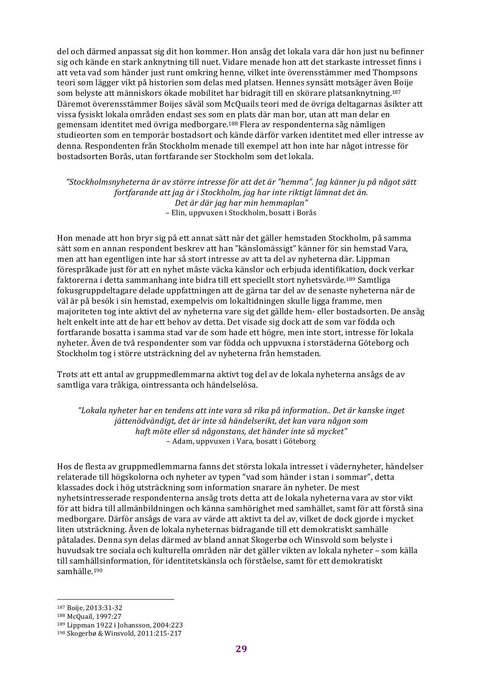del och därmed anpassat sig dit hon kommer. Hon ansåg det lokala vara där hon just nu befinner sig och kände en stark anknytning till nuet. Vidare menade hon att det starkaste intresset finns i att veta vad som händer just runt omkring henne, vilket inte överensstämmer med Thompsons teori som lägger vikt på historien som delas med platsen. Hennes synsätt motsäger även Boije som belyste att människors ökade mobilitet har bidragit till en skörare platsanknytning.<sup>187</sup> Däremot överensstämmer Boijes såväl som McQuails teori med de övriga deltagarnas åsikter att vissa fysiskt lokala områden endast ses som en plats där man bor, utan att man delar en gemensam identitet med övriga medborgare.<sup>188</sup> Flera av respondenterna såg nämligen studieorten som en temporär bostadsort och kände därför varken identitet med eller intresse av denna. Respondenten från Stockholm menade till exempel att hon inte har något intresse för bostadsorten Borås, utan fortfarande ser Stockholm som det lokala.

*"Stockholmsnyheterna är av större intresse för att det är "hemma". Jag känner ju på något sätt fortfarande att jag är i Stockholm, jag har inte riktigt lämnat det än. Det är där jag har min hemmaplan"* – Elin, uppvuxen i Stockholm, bosatt i Borås

Hon menade att hon bryr sig på ett annat sätt när det gäller hemstaden Stockholm, på samma sätt som en annan respondent beskrev att han "känslomässigt" känner för sin hemstad Vara, men att han egentligen inte har så stort intresse av att ta del av nyheterna där. Lippman förespråkade just för att en nyhet måste väcka känslor och erbjuda identifikation, dock verkar faktorerna i detta sammanhang inte bidra till ett speciellt stort nyhetsvärde.<sup>189</sup> Samtliga fokusgruppdeltagare delade uppfattningen att de gärna tar del av de senaste nyheterna när de väl är på besök i sin hemstad, exempelvis om lokaltidningen skulle ligga framme, men majoriteten tog inte aktivt del av nyheterna vare sig det gällde hem- eller bostadsorten. De ansåg helt enkelt inte att de har ett behov av detta. Det visade sig dock att de som var födda och fortfarande bosatta i samma stad var de som hade ett högre, men inte stort, intresse för lokala nyheter. Även de två respondenter som var födda och uppvuxna i storstäderna Göteborg och Stockholm tog i större utsträckning del av nyheterna från hemstaden.

Trots att ett antal av gruppmedlemmarna aktivt tog del av de lokala nyheterna ansågs de av samtliga vara tråkiga, ointressanta och händelselösa.

*"Lokala nyheter har en tendens att inte vara så rika på information.. Det är kanske inget jättenödvändigt, det är inte så händelserikt, det kan vara någon som* haft möte eller så någonstans, det händer inte så mycket" – Adam, uppvuxen i Vara, bosatt i Göteborg

Hos de flesta av gruppmedlemmarna fanns det största lokala intresset i vädernyheter, händelser relaterade till högskolorna och nyheter av typen "vad som händer i stan i sommar", detta klassades dock i hög utsträckning som information snarare än nyheter. De mest nyhetsintresserade respondenterna ansåg trots detta att de lokala nyheterna vara av stor vikt för att bidra till allmänbildningen och känna samhörighet med samhället, samt för att förstå sina medborgare. Därför ansågs de vara av värde att aktivt ta del av, vilket de dock gjorde i mycket liten utsträckning. Även de lokala nyheternas bidragande till ett demokratiskt samhälle påtalades. Denna syn delas därmed av bland annat Skogerbø och Winsvold som belyste i huvudsak tre sociala och kulturella områden när det gäller vikten av lokala nyheter – som källa till samhällsinformation, för identitetskänsla och förståelse, samt för ett demokratiskt samhälle.190

<sup>187</sup> Boije, 2013:31-32

<sup>188</sup> McQuail, 1997:27

<sup>189</sup> Lippman 1922 i Johansson, 2004:223

<sup>190</sup> Skogerbø & Winsvold, 2011:215-217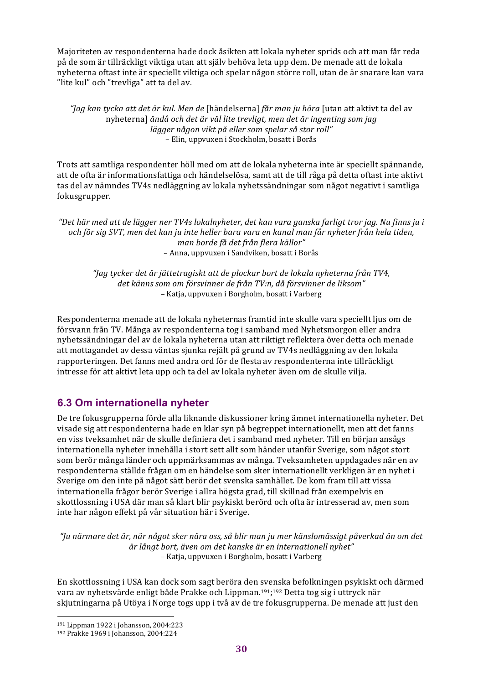Majoriteten av respondenterna hade dock åsikten att lokala nyheter sprids och att man får reda på de som är tillräckligt viktiga utan att själv behöva leta upp dem. De menade att de lokala nyheterna oftast inte är speciellt viktiga och spelar någon större roll, utan de är snarare kan vara "lite kul" och "trevliga" att ta del av.

*"Jag kan tycka att det är kul. Men de* [händelserna] *får man ju höra* [utan att aktivt ta del av nyheterna] ändå och det är väl lite trevligt, men det är ingenting som jag *lägger någon vikt på eller som spelar så stor roll"* – Elin, uppvuxen i Stockholm, bosatt i Borås

Trots att samtliga respondenter höll med om att de lokala nyheterna inte är speciellt spännande, att de ofta är informationsfattiga och händelselösa, samt att de till råga på detta oftast inte aktivt tas del av nämndes TV4s nedläggning av lokala nyhetssändningar som något negativt i samtliga fokusgrupper. 

"Det här med att de lägger ner TV4s lokalnyheter, det kan vara ganska farligt tror jag. Nu finns ju i *och för sig SVT, men det kan ju inte heller bara vara en kanal man får nyheter från hela tiden, man borde få det från flera källor"* – Anna, uppvuxen i Sandviken, bosatt i Borås

*"Jag tycker det är jättetragiskt att de plockar bort de lokala nyheterna från TV4,* det känns som om försvinner de från TV:n, då försvinner de liksom" – Katja, uppvuxen i Borgholm, bosatt i Varberg

Respondenterna menade att de lokala nyheternas framtid inte skulle vara speciellt ljus om de försvann från TV. Många av respondenterna tog i samband med Nyhetsmorgon eller andra nyhetssändningar del av de lokala nyheterna utan att riktigt reflektera över detta och menade att mottagandet av dessa väntas sjunka rejält på grund av TV4s nedläggning av den lokala rapporteringen. Det fanns med andra ord för de flesta av respondenterna inte tillräckligt intresse för att aktivt leta upp och ta del av lokala nyheter även om de skulle vilja.

# **6.3 Om internationella nyheter**

De tre fokusgrupperna förde alla liknande diskussioner kring ämnet internationella nyheter. Det visade sig att respondenterna hade en klar syn på begreppet internationellt, men att det fanns en viss tveksamhet när de skulle definiera det i samband med nyheter. Till en början ansågs internationella nyheter innehålla i stort sett allt som händer utanför Sverige, som något stort som berör många länder och uppmärksammas av många. Tveksamheten uppdagades när en av respondenterna ställde frågan om en händelse som sker internationellt verkligen är en nyhet i Sverige om den inte på något sätt berör det svenska samhället. De kom fram till att vissa internationella frågor berör Sverige i allra högsta grad, till skillnad från exempelvis en skottlossning i USA där man så klart blir psykiskt berörd och ofta är intresserad av, men som inte har någon effekt på vår situation här i Sverige.

*"Ju närmare det är, när något sker nära oss, så blir man ju mer känslomässigt påverkad än om det är långt bort, även om det kanske är en internationell nyhet"* – Katja, uppvuxen i Borgholm, bosatt i Varberg

En skottlossning i USA kan dock som sagt beröra den svenska befolkningen psykiskt och därmed vara av nyhetsvärde enligt både Prakke och Lippman.<sup>191</sup>;<sup>192</sup> Detta tog sig i uttryck när skjutningarna på Utöya i Norge togs upp i två av de tre fokusgrupperna. De menade att just den

 191 Lippman 1922 i Johansson, 2004:223

<sup>192</sup> Prakke 1969 i Johansson, 2004:224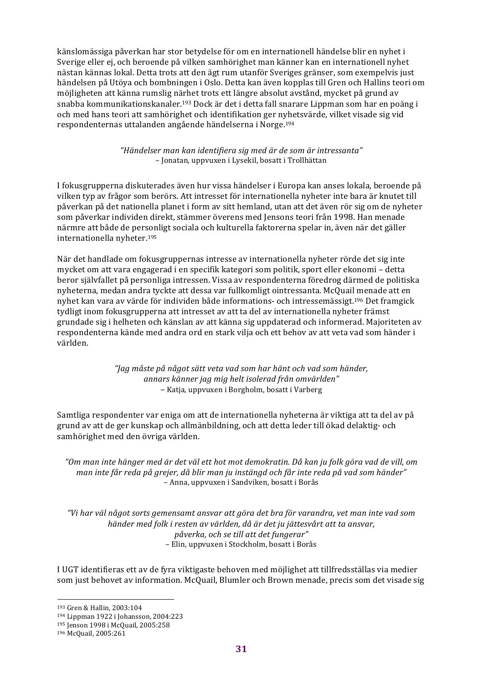känslomässiga påverkan har stor betydelse för om en internationell händelse blir en nyhet i Sverige eller ej, och beroende på vilken samhörighet man känner kan en internationell nyhet nästan kännas lokal. Detta trots att den ägt rum utanför Sveriges gränser, som exempelvis just händelsen på Utöya och bombningen i Oslo. Detta kan även kopplas till Gren och Hallins teori om möjligheten att känna rumslig närhet trots ett längre absolut avstånd, mycket på grund av snabba kommunikationskanaler.<sup>193</sup> Dock är det i detta fall snarare Lippman som har en poäng i och med hans teori att samhörighet och identifikation ger nyhetsvärde, vilket visade sig vid respondenternas uttalanden angående händelserna i Norge.<sup>194</sup>

> *"Händelser man kan identifiera sig med är de som är intressanta"* – Jonatan, uppvuxen i Lysekil, bosatt i Trollhättan

I fokusgrupperna diskuterades även hur vissa händelser i Europa kan anses lokala, beroende på vilken typ av frågor som berörs. Att intresset för internationella nyheter inte bara är knutet till påverkan på det nationella planet i form av sitt hemland, utan att det även rör sig om de nyheter som påverkar individen direkt, stämmer överens med Jensons teori från 1998. Han menade närmre att både de personligt sociala och kulturella faktorerna spelar in, även när det gäller internationella nyheter.<sup>195</sup>

När det handlade om fokusgruppernas intresse av internationella nyheter rörde det sig inte mycket om att vara engagerad i en specifik kategori som politik, sport eller ekonomi – detta beror självfallet på personliga intressen. Vissa av respondenterna föredrog därmed de politiska nyheterna, medan andra tyckte att dessa var fullkomligt ointressanta. McQuail menade att en nyhet kan vara av värde för individen både informations- och intressemässigt.<sup>196</sup> Det framgick tydligt inom fokusgrupperna att intresset av att ta del av internationella nyheter främst grundade sig i helheten och känslan av att känna sig uppdaterad och informerad. Majoriteten av respondenterna kände med andra ord en stark vilja och ett behov av att veta vad som händer i världen.

> *"Jag måste på något sätt veta vad som har hänt och vad som händer, annars känner jag mig helt isolerad från omvärlden"* – Katja, uppvuxen i Borgholm, bosatt i Varberg

Samtliga respondenter var eniga om att de internationella nyheterna är viktiga att ta del av på grund av att de ger kunskap och allmänbildning, och att detta leder till ökad delaktig- och samhörighet med den övriga världen.

"Om man inte hänger med är det väl ett hot mot demokratin. Då kan ju folk göra vad de vill, om man inte får reda på grejer, då blir man ju instängd och får inte reda på vad som händer" – Anna, uppvuxen i Sandviken, bosatt i Borås

*"Vi har väl något sorts gemensamt ansvar att göra det bra för varandra, vet man inte vad som händer med folk i resten av världen, då är det ju jättesvårt att ta ansvar, påverka, och se till att det fungerar"* – Elin, uppvuxen i Stockholm, bosatt i Borås

I UGT identifieras ett av de fyra viktigaste behoven med möjlighet att tillfredsställas via medier som just behovet av information. McQuail, Blumler och Brown menade, precis som det visade sig

<sup>193</sup> Gren & Hallin, 2003:104

<sup>194</sup> Lippman 1922 i Johansson, 2004:223

<sup>195</sup> Jenson 1998 i McQuail, 2005:258

<sup>196</sup> McQuail, 2005:261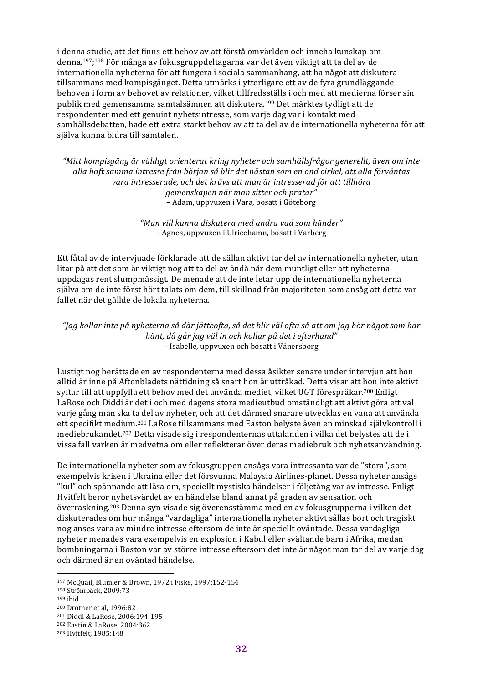i denna studie, att det finns ett behov av att förstå omvärlden och inneha kunskap om denna.<sup>197</sup>;<sup>198</sup> För många av fokusgruppdeltagarna var det även viktigt att ta del av de internationella nyheterna för att fungera i sociala sammanhang, att ha något att diskutera tillsammans med kompisgänget. Detta utmärks i ytterligare ett av de fyra grundläggande behoven i form av behovet av relationer, vilket tillfredsställs i och med att medierna förser sin publik med gemensamma samtalsämnen att diskutera.<sup>199</sup> Det märktes tydligt att de respondenter med ett genuint nyhetsintresse, som varje dag var i kontakt med samhällsdebatten, hade ett extra starkt behov av att ta del av de internationella nyheterna för att själva kunna bidra till samtalen.

"Mitt kompisgäng är väldigt orienterat kring nyheter och samhällsfrågor generellt, även om inte *alla haft samma intresse från början så blir det nästan som en ond cirkel, att alla förväntas vara intresserade, och det krävs att man är intresserad för att tillhöra gemenskapen när man sitter och pratar"* – Adam, uppvuxen i Vara, bosatt i Göteborg

> *"Man vill kunna diskutera med andra vad som händer"* – Agnes, uppvuxen i Ulricehamn, bosatt i Varberg

Ett fåtal av de intervjuade förklarade att de sällan aktivt tar del av internationella nyheter, utan litar på att det som är viktigt nog att ta del av ändå når dem muntligt eller att nyheterna uppdagas rent slumpmässigt. De menade att de inte letar upp de internationella nyheterna själva om de inte först hört talats om dem, till skillnad från majoriteten som ansåg att detta var fallet när det gällde de lokala nyheterna.

*"Jag kollar inte på nyheterna så där jätteofta, så det blir väl ofta så att om jag hör något som har hänt, då går jag väl in och kollar på det i efterhand"* – Isabelle, uppvuxen och bosatt i Vänersborg

Lustigt nog berättade en av respondenterna med dessa åsikter senare under intervjun att hon alltid är inne på Aftonbladets nättidning så snart hon är uttråkad. Detta visar att hon inte aktivt syftar till att uppfylla ett behov med det använda mediet, vilket UGT förespråkar.<sup>200</sup> Enligt LaRose och Diddi är det i och med dagens stora medieutbud omständligt att aktivt göra ett val varje gång man ska ta del av nyheter, och att det därmed snarare utvecklas en vana att använda ett specifikt medium.<sup>201</sup> LaRose tillsammans med Easton belyste även en minskad självkontroll i mediebrukandet.<sup>202</sup> Detta visade sig i respondenternas uttalanden i vilka det belystes att de i vissa fall varken är medvetna om eller reflekterar över deras mediebruk och nyhetsanvändning.

De internationella nyheter som av fokusgruppen ansågs vara intressanta var de "stora", som exempelvis krisen i Ukraina eller det försvunna Malaysia Airlines-planet. Dessa nyheter ansågs "kul" och spännande att läsa om, speciellt mystiska händelser i följetång var av intresse. Enligt Hvitfelt beror nyhetsvärdet av en händelse bland annat på graden av sensation och överraskning.<sup>203</sup> Denna syn visade sig överensstämma med en av fokusgrupperna i vilken det diskuterades om hur många "vardagliga" internationella nyheter aktivt sållas bort och tragiskt nog anses vara av mindre intresse eftersom de inte är speciellt oväntade. Dessa vardagliga nyheter menades vara exempelvis en explosion i Kabul eller svältande barn i Afrika, medan bombningarna i Boston var av större intresse eftersom det inte är något man tar del av varje dag och därmed är en oväntad händelse.

<sup>197</sup> McQuail, Blumler & Brown, 1972 i Fiske, 1997:152-154

<sup>198</sup> Strömbäck, 2009:73

<sup>199</sup> ibid.

<sup>200</sup> Drotner et al, 1996:82

<sup>201</sup> Diddi & LaRose, 2006:194-195

<sup>202</sup> Eastin & LaRose, 2004:362

<sup>&</sup>lt;sup>203</sup> Hvitfelt, 1985:148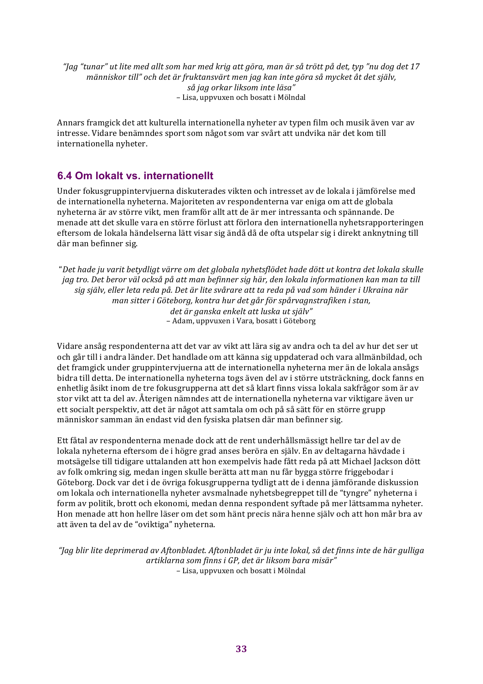*"Jag "tunar" ut lite med allt som har med krig att göra, man är så trött på det, typ "nu dog det 17 människor till" och det är fruktansvärt men jag kan inte göra så mycket åt det själv, så jag orkar liksom inte läsa"* – Lisa, uppvuxen och bosatt i Mölndal

Annars framgick det att kulturella internationella nyheter av typen film och musik även var av intresse. Vidare benämndes sport som något som var svårt att undvika när det kom till internationella nyheter.

# **6.4 Om lokalt vs. internationellt**

Under fokusgruppintervjuerna diskuterades vikten och intresset av de lokala i jämförelse med de internationella nyheterna. Majoriteten av respondenterna var eniga om att de globala nyheterna är av större vikt, men framför allt att de är mer intressanta och spännande. De menade att det skulle vara en större förlust att förlora den internationella nyhetsrapporteringen eftersom de lokala händelserna lätt visar sig ändå då de ofta utspelar sig i direkt anknytning till där man befinner sig.

"Det hade ju varit betydligt värre om det globala nyhetsflödet hade dött ut kontra det lokala skulle *jag* tro. Det beror väl också på att man befinner sig här, den lokala informationen kan man ta till *sig själv, eller leta reda på. Det är lite svårare att ta reda på vad som händer i Ukraina när man sitter i Göteborg, kontra hur det går för spårvagnstrafiken i stan, det är ganska enkelt att luska ut själv"* – Adam, uppvuxen i Vara, bosatt i Göteborg

Vidare ansåg respondenterna att det var av vikt att lära sig av andra och ta del av hur det ser ut och går till i andra länder. Det handlade om att känna sig uppdaterad och vara allmänbildad, och det framgick under gruppintervjuerna att de internationella nyheterna mer än de lokala ansågs bidra till detta. De internationella nyheterna togs även del av i större utsträckning, dock fanns en enhetlig åsikt inom de tre fokusgrupperna att det så klart finns vissa lokala sakfrågor som är av stor vikt att ta del av. Återigen nämndes att de internationella nyheterna var viktigare även ur ett socialt perspektiv, att det är något att samtala om och på så sätt för en större grupp människor samman än endast vid den fysiska platsen där man befinner sig.

Ett fåtal av respondenterna menade dock att de rent underhållsmässigt hellre tar del av de lokala nyheterna eftersom de i högre grad anses beröra en själv. En av deltagarna hävdade i motsägelse till tidigare uttalanden att hon exempelvis hade fått reda på att Michael Jackson dött av folk omkring sig, medan ingen skulle berätta att man nu får bygga större friggebodar i Göteborg. Dock var det i de övriga fokusgrupperna tydligt att de i denna jämförande diskussion om lokala och internationella nyheter avsmalnade nyhetsbegreppet till de "tyngre" nyheterna i form av politik, brott och ekonomi, medan denna respondent syftade på mer lättsamma nyheter. Hon menade att hon hellre läser om det som hänt precis nära henne själv och att hon mår bra av att även ta del av de "oviktiga" nyheterna.

*"Jag blir lite deprimerad av Aftonbladet. Aftonbladet är ju inte lokal, så det finns inte de här gulliga artiklarna som finns i GP, det är liksom bara misär"* – Lisa, uppvuxen och bosatt i Mölndal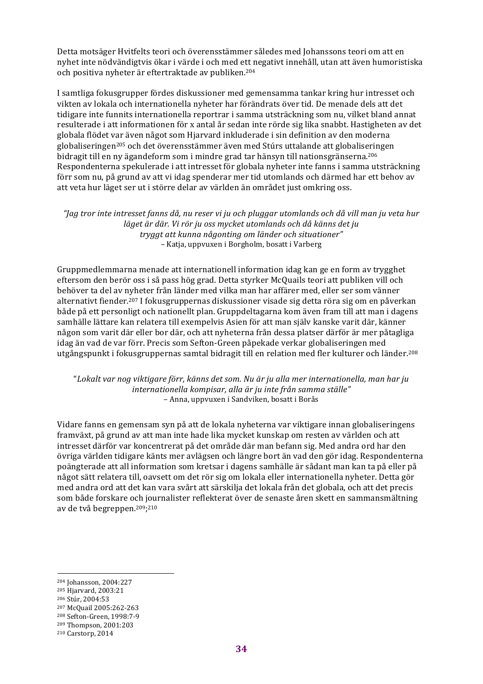Detta motsäger Hvitfelts teori och överensstämmer således med Johanssons teori om att en nyhet inte nödvändigtvis ökar i värde i och med ett negativt innehåll, utan att även humoristiska och positiva nyheter är eftertraktade av publiken.<sup>204</sup>

I samtliga fokusgrupper fördes diskussioner med gemensamma tankar kring hur intresset och vikten av lokala och internationella nyheter har förändrats över tid. De menade dels att det tidigare inte funnits internationella reportrar i samma utsträckning som nu, vilket bland annat resulterade i att informationen för x antal år sedan inte rörde sig lika snabbt. Hastigheten av det globala flödet var även något som Hjarvard inkluderade i sin definition av den moderna globaliseringen<sup>205</sup> och det överensstämmer även med Stúrs uttalande att globaliseringen bidragit till en ny ägandeform som i mindre grad tar hänsyn till nationsgränserna.<sup>206</sup> Respondenterna spekulerade i att intresset för globala nyheter inte fanns i samma utsträckning förr som nu, på grund av att vi idag spenderar mer tid utomlands och därmed har ett behov av att veta hur läget ser ut i större delar av världen än området just omkring oss.

"Jag tror inte intresset fanns då, nu reser vi ju och pluggar utomlands och då vill man ju veta hur *läget är där. Vi rör ju oss mycket utomlands och då känns det ju tryggt att kunna någonting om länder och situationer"* – Katja, uppvuxen i Borgholm, bosatt i Varberg

Gruppmedlemmarna menade att internationell information idag kan ge en form av trygghet eftersom den berör oss i så pass hög grad. Detta styrker McQuails teori att publiken vill och behöver ta del av nyheter från länder med vilka man har affärer med, eller ser som vänner alternativt fiender.<sup>207</sup> I fokusgruppernas diskussioner visade sig detta röra sig om en påverkan både på ett personligt och nationellt plan. Gruppdeltagarna kom även fram till att man i dagens samhälle lättare kan relatera till exempelvis Asien för att man själv kanske varit där, känner någon som varit där eller bor där, och att nyheterna från dessa platser därför är mer påtagliga idag än vad de var förr. Precis som Sefton-Green påpekade verkar globaliseringen med utgångspunkt i fokusgruppernas samtal bidragit till en relation med fler kulturer och länder.<sup>208</sup>

"Lokalt var nog viktigare förr, känns det som. Nu är ju alla mer internationella, man har ju *internationella kompisar, alla är ju inte från samma ställe"* – Anna, uppvuxen i Sandviken, bosatt i Borås

Vidare fanns en gemensam syn på att de lokala nyheterna var viktigare innan globaliseringens framväxt, på grund av att man inte hade lika mycket kunskap om resten av världen och att intresset därför var koncentrerat på det område där man befann sig. Med andra ord har den övriga världen tidigare känts mer avlägsen och längre bort än vad den gör idag. Respondenterna poängterade att all information som kretsar i dagens samhälle är sådant man kan ta på eller på något sätt relatera till, oavsett om det rör sig om lokala eller internationella nyheter. Detta gör med andra ord att det kan vara svårt att särskilja det lokala från det globala, och att det precis som både forskare och journalister reflekterat över de senaste åren skett en sammansmältning av de två begreppen.<sup>209</sup>;<sup>210</sup>

<sup>&</sup>lt;sup>204</sup> Johansson, 2004:227

<sup>&</sup>lt;sup>205</sup> Hjarvard, 2003:21

<sup>206</sup> Stúr, 2004:53

<sup>207</sup> McQuail 2005:262-263 208 Sefton-Green, 1998:7-9

<sup>209</sup> Thompson, 2001:203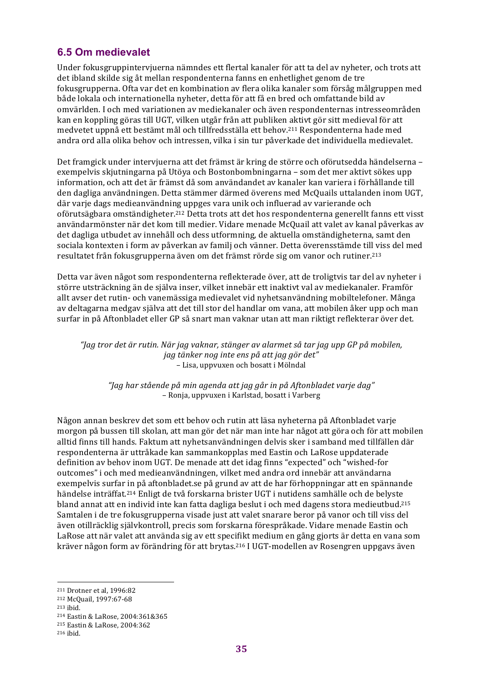## **6.5 Om medievalet**

Under fokusgruppinterviuerna nämndes ett flertal kanaler för att ta del av nyheter, och trots att det ibland skilde sig åt mellan respondenterna fanns en enhetlighet genom de tre fokusgrupperna. Ofta var det en kombination av flera olika kanaler som försåg målgruppen med både lokala och internationella nyheter, detta för att få en bred och omfattande bild av omvärlden. I och med variationen av mediekanaler och även respondenternas intresseområden kan en koppling göras till UGT, vilken utgår från att publiken aktivt gör sitt medieval för att medvetet uppnå ett bestämt mål och tillfredsställa ett behov.<sup>211</sup> Respondenterna hade med andra ord alla olika behov och intressen, vilka i sin tur påverkade det individuella medievalet.

Det framgick under interviuerna att det främst är kring de större och oförutsedda händelserna – exempelvis skjutningarna på Utöya och Bostonbombningarna – som det mer aktivt sökes upp information, och att det är främst då som användandet av kanaler kan variera i förhållande till den dagliga användningen. Detta stämmer därmed överens med McQuails uttalanden inom UGT, där varje dags medieanvändning uppges vara unik och influerad av varierande och oförutsägbara omständigheter.<sup>212</sup> Detta trots att det hos respondenterna generellt fanns ett visst användarmönster när det kom till medier. Vidare menade McQuail att valet av kanal påverkas av det dagliga utbudet av innehåll och dess utformning, de aktuella omständigheterna, samt den sociala kontexten i form av påverkan av familj och vänner. Detta överensstämde till viss del med resultatet från fokusgrupperna även om det främst rörde sig om vanor och rutiner.<sup>213</sup>

Detta var även något som respondenterna reflekterade över, att de troligtvis tar del av nyheter i större utsträckning än de själva inser, vilket innebär ett inaktivt val av mediekanaler. Framför allt avser det rutin- och vanemässiga medievalet vid nyhetsanvändning mobiltelefoner. Många av deltagarna medgav själva att det till stor del handlar om vana, att mobilen åker upp och man surfar in på Aftonbladet eller GP så snart man vaknar utan att man riktigt reflekterar över det.

*"Jag tror det är rutin. När jag vaknar, stänger av alarmet så tar jag upp GP på mobilen, jag tänker nog inte ens på att jag gör det"* – Lisa, uppvuxen och bosatt i Mölndal

*"Jag har stående på min agenda att jag går in på Aftonbladet varje dag"* – Ronja, uppvuxen i Karlstad, bosatt i Varberg

Någon annan beskrev det som ett behov och rutin att läsa nyheterna på Aftonbladet varje morgon på bussen till skolan, att man gör det när man inte har något att göra och för att mobilen alltid finns till hands. Faktum att nyhetsanvändningen delvis sker i samband med tillfällen där respondenterna är uttråkade kan sammankopplas med Eastin och LaRose uppdaterade definition av behov inom UGT. De menade att det idag finns "expected" och "wished-for outcomes" i och med medieanvändningen, vilket med andra ord innebär att användarna exempelvis surfar in på aftonbladet.se på grund av att de har förhoppningar att en spännande händelse inträffat.<sup>214</sup> Enligt de två forskarna brister UGT i nutidens samhälle och de belyste bland annat att en individ inte kan fatta dagliga beslut i och med dagens stora medieutbud.<sup>215</sup> Samtalen i de tre fokusgrupperna visade just att valet snarare beror på vanor och till viss del även otillräcklig självkontroll, precis som forskarna förespråkade. Vidare menade Eastin och LaRose att när valet att använda sig av ett specifikt medium en gång gjorts är detta en vana som kräver någon form av förändring för att brytas.<sup>216</sup> I UGT-modellen av Rosengren uppgavs även

<sup>211</sup> Drotner et al, 1996:82

<sup>&</sup>lt;sup>212</sup> McQuail, 1997:67-68

<sup>213</sup> ibid.

<sup>214</sup> Eastin & LaRose, 2004:361&365

<sup>215</sup> Eastin & LaRose, 2004:362

<sup>216</sup> ibid.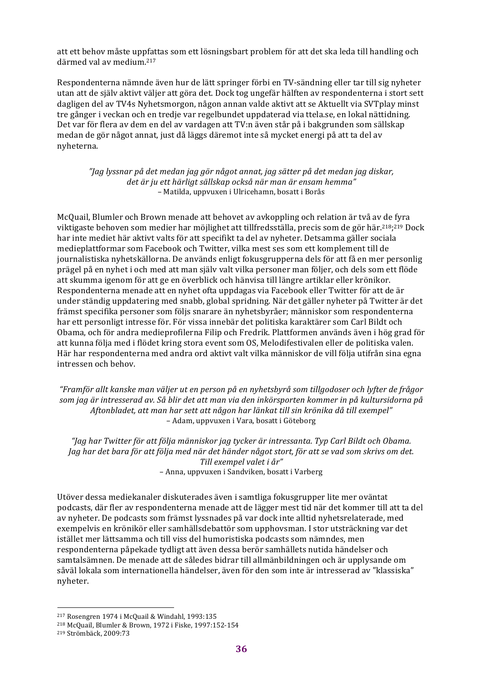att ett behov måste uppfattas som ett lösningsbart problem för att det ska leda till handling och därmed val av medium.<sup>217</sup>

Respondenterna nämnde även hur de lätt springer förbi en TV-sändning eller tar till sig nyheter utan att de själv aktivt väljer att göra det. Dock tog ungefär hälften av respondenterna i stort sett dagligen del av TV4s Nyhetsmorgon, någon annan valde aktivt att se Aktuellt via SVTplay minst tre gånger i veckan och en tredje var regelbundet uppdaterad via ttela.se, en lokal nättidning. Det var för flera av dem en del av vardagen att TV:n även står på i bakgrunden som sällskap medan de gör något annat, just då läggs däremot inte så mycket energi på att ta del av nyheterna.

*"Jag lyssnar på det medan jag gör något annat, jag sätter på det medan jag diskar, det är ju ett härligt sällskap också när man är ensam hemma"* – Matilda, uppvuxen i Ulricehamn, bosatt i Borås

McQuail, Blumler och Brown menade att behovet av avkoppling och relation är två av de fyra viktigaste behoven som medier har möjlighet att tillfredsställa, precis som de gör här.<sup>218</sup>;<sup>219</sup> Dock har inte mediet här aktivt valts för att specifikt ta del av nyheter. Detsamma gäller sociala medieplattformar som Facebook och Twitter, vilka mest ses som ett komplement till de journalistiska nyhetskällorna. De används enligt fokusgrupperna dels för att få en mer personlig prägel på en nyhet i och med att man själv valt vilka personer man följer, och dels som ett flöde att skumma igenom för att ge en överblick och hänvisa till längre artiklar eller krönikor. Respondenterna menade att en nyhet ofta uppdagas via Facebook eller Twitter för att de är under ständig uppdatering med snabb, global spridning. När det gäller nyheter på Twitter är det främst specifika personer som följs snarare än nyhetsbyråer; människor som respondenterna har ett personligt intresse för. För vissa innebär det politiska karaktärer som Carl Bildt och Obama, och för andra medieprofilerna Filip och Fredrik. Plattformen används även i hög grad för att kunna följa med i flödet kring stora event som OS, Melodifestivalen eller de politiska valen. Här har respondenterna med andra ord aktivt valt vilka människor de vill följa utifrån sina egna intressen och behov.

*"Framför allt kanske man väljer ut en person på en nyhetsbyrå som tillgodoser och lyfter de frågor*  som jag är intresserad av. Så blir det att man via den inkörsporten kommer in på kultursidorna på *Aftonbladet, att man har sett att någon har länkat till sin krönika då till exempel"* – Adam, uppvuxen i Vara, bosatt i Göteborg

*"Jag har Twitter för att följa människor jag tycker är intressanta. Typ Carl Bildt och Obama. Jag* har det bara för att följa med när det händer något stort, för att se vad som skrivs om det. *Till exempel valet i år"* – Anna, uppvuxen i Sandviken, bosatt i Varberg

Utöver dessa mediekanaler diskuterades även i samtliga fokusgrupper lite mer oväntat podcasts, där fler av respondenterna menade att de lägger mest tid när det kommer till att ta del av nyheter. De podcasts som främst lyssnades på var dock inte alltid nyhetsrelaterade, med exempelvis en krönikör eller samhällsdebattör som upphovsman. I stor utsträckning var det istället mer lättsamma och till viss del humoristiska podcasts som nämndes, men respondenterna påpekade tydligt att även dessa berör samhällets nutida händelser och samtalsämnen. De menade att de således bidrar till allmänbildningen och är upplysande om såväl lokala som internationella händelser, även för den som inte är intresserad av "klassiska" nyheter. 

 $217$  Rosengren 1974 i McQuail & Windahl, 1993:135

<sup>218</sup> McQuail, Blumler & Brown, 1972 i Fiske, 1997:152-154

<sup>219</sup> Strömbäck, 2009:73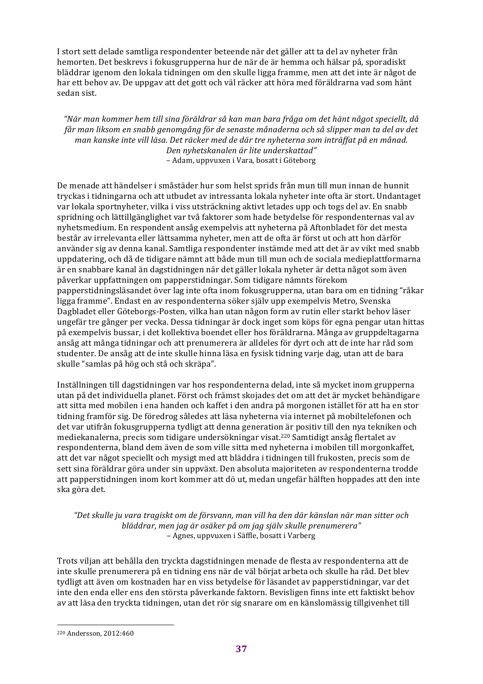I stort sett delade samtliga respondenter beteende när det gäller att ta del av nyheter från hemorten. Det beskrevs i fokusgrupperna hur de när de är hemma och hälsar på, sporadiskt bläddrar igenom den lokala tidningen om den skulle ligga framme, men att det inte är något de har ett behov av. De uppgav att det gott och väl räcker att höra med föräldrarna vad som hänt sedan sist.

*"När man kommer hem till sina föräldrar så kan man bara fråga om det hänt något speciellt, då*  får man liksom en snabb genomgång för de senaste månaderna och så slipper man ta del av det man kanske inte vill läsa. Det räcker med de där tre nyheterna som inträffat på en månad. *Den nyhetskanalen är lite underskattad"* – Adam, uppvuxen i Vara, bosatt i Göteborg

De menade att händelser i småstäder hur som helst sprids från mun till mun innan de hunnit tryckas i tidningarna och att utbudet av intressanta lokala nyheter inte ofta är stort. Undantaget var lokala sportnyheter, vilka i viss utsträckning aktivt letades upp och togs del av. En snabb spridning och lättillgänglighet var två faktorer som hade betydelse för respondenternas val av nyhetsmedium. En respondent ansåg exempelvis att nyheterna på Aftonbladet för det mesta består av irrelevanta eller lättsamma nyheter, men att de ofta är först ut och att hon därför använder sig av denna kanal. Samtliga respondenter instämde med att det är av vikt med snabb uppdatering, och då de tidigare nämnt att både mun till mun och de sociala medieplattformarna är en snabbare kanal än dagstidningen när det gäller lokala nyheter är detta något som även påverkar uppfattningen om papperstidningar. Som tidigare nämnts förekom papperstidningsläsandet över lag inte ofta inom fokusgrupperna, utan bara om en tidning "råkar ligga framme". Endast en av respondenterna söker själv upp exempelvis Metro, Svenska Dagbladet eller Göteborgs-Posten, vilka han utan någon form av rutin eller starkt behov läser ungefär tre gånger per vecka. Dessa tidningar är dock inget som köps för egna pengar utan hittas på exempelvis bussar, i det kollektiva boendet eller hos föräldrarna. Många av gruppdeltagarna ansåg att många tidningar och att prenumerera är alldeles för dyrt och att de inte har råd som studenter. De ansåg att de inte skulle hinna läsa en fysisk tidning varje dag, utan att de bara skulle "samlas på hög och stå och skräpa".

Inställningen till dagstidningen var hos respondenterna delad, inte så mycket inom grupperna utan på det individuella planet. Först och främst skojades det om att det är mycket behändigare att sitta med mobilen i ena handen och kaffet i den andra på morgonen istället för att ha en stor tidning framför sig. De föredrog således att läsa nyheterna via internet på mobiltelefonen och det var utifrån fokusgrupperna tydligt att denna generation är positiv till den nya tekniken och mediekanalerna, precis som tidigare undersökningar visat.<sup>220</sup> Samtidigt ansåg flertalet av respondenterna, bland dem även de som ville sitta med nyheterna i mobilen till morgonkaffet, att det var något speciellt och mysigt med att bläddra i tidningen till frukosten, precis som de sett sina föräldrar göra under sin uppväxt. Den absoluta majoriteten av respondenterna trodde att papperstidningen inom kort kommer att dö ut, medan ungefär hälften hoppades att den inte ska göra det.

"Det skulle ju vara tragiskt om de försvann, man vill ha den där känslan när man sitter och *bläddrar, men jag är osäker på om jag själv skulle prenumerera"* – Agnes, uppvuxen i Säffle, bosatt i Varberg

Trots viljan att behålla den tryckta dagstidningen menade de flesta av respondenterna att de inte skulle prenumerera på en tidning ens när de väl börjat arbeta och skulle ha råd. Det blev tydligt att även om kostnaden har en viss betydelse för läsandet av papperstidningar, var det inte den enda eller ens den största påverkande faktorn. Bevisligen finns inte ett faktiskt behov av att läsa den tryckta tidningen, utan det rör sig snarare om en känslomässig tillgivenhet till

<sup>&</sup>lt;sup>220</sup> Andersson, 2012:460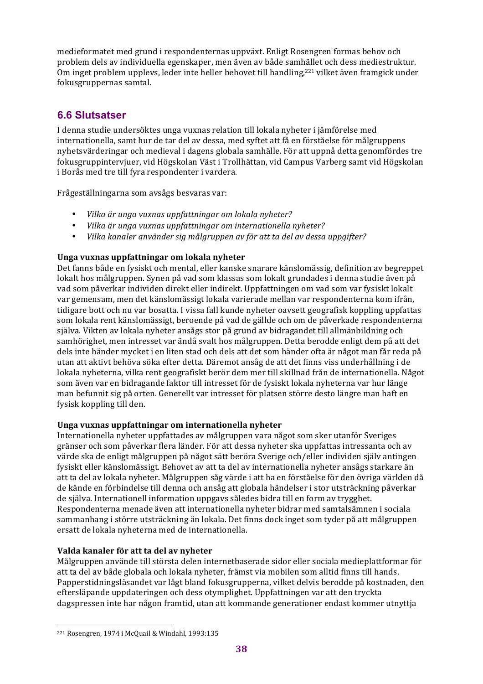medieformatet med grund i respondenternas uppväxt. Enligt Rosengren formas behov och problem dels av individuella egenskaper, men även av både samhället och dess mediestruktur. Om inget problem upplevs, leder inte heller behovet till handling,<sup>221</sup> vilket även framgick under fokusgruppernas samtal.

# **6.6 Slutsatser**

I denna studie undersöktes unga vuxnas relation till lokala nyheter i jämförelse med internationella, samt hur de tar del av dessa, med syftet att få en förståelse för målgruppens nyhetsvärderingar och medieval i dagens globala samhälle. För att uppnå detta genomfördes tre fokusgruppintervjuer, vid Högskolan Väst i Trollhättan, vid Campus Varberg samt vid Högskolan i Borås med tre till fyra respondenter i vardera.

Frågeställningarna som avsågs besvaras var:

- *Vilka är unga vuxnas uppfattningar om lokala nyheter?*
- *Vilka är unga vuxnas uppfattningar om internationella nyheter?*
- *Vilka kanaler använder sig målgruppen av för att ta del av dessa uppgifter?*

#### Unga vuxnas uppfattningar om lokala nyheter

Det fanns både en fysiskt och mental, eller kanske snarare känslomässig, definition av begreppet lokalt hos målgruppen. Synen på vad som klassas som lokalt grundades i denna studie även på vad som påverkar individen direkt eller indirekt. Uppfattningen om vad som var fysiskt lokalt var gemensam, men det känslomässigt lokala varierade mellan var respondenterna kom ifrån. tidigare bott och nu var bosatta. I vissa fall kunde nyheter oavsett geografisk koppling uppfattas som lokala rent känslomässigt, beroende på vad de gällde och om de påverkade respondenterna själva. Vikten av lokala nyheter ansågs stor på grund av bidragandet till allmänbildning och samhörighet, men intresset var ändå svalt hos målgruppen. Detta berodde enligt dem på att det dels inte händer mycket i en liten stad och dels att det som händer ofta är något man får reda på utan att aktivt behöva söka efter detta. Däremot ansåg de att det finns viss underhållning i de lokala nyheterna, vilka rent geografiskt berör dem mer till skillnad från de internationella. Något som även var en bidragande faktor till intresset för de fysiskt lokala nyheterna var hur länge man befunnit sig på orten. Generellt var intresset för platsen större desto längre man haft en fysisk koppling till den.

#### Unga vuxnas uppfattningar om internationella nyheter

Internationella nyheter uppfattades av målgruppen vara något som sker utanför Sveriges gränser och som påverkar flera länder. För att dessa nyheter ska uppfattas intressanta och av värde ska de enligt målgruppen på något sätt beröra Sverige och/eller individen själv antingen fysiskt eller känslomässigt. Behovet av att ta del av internationella nyheter ansågs starkare än att ta del av lokala nyheter. Målgruppen såg värde i att ha en förståelse för den övriga världen då de kände en förbindelse till denna och ansåg att globala händelser i stor utsträckning påverkar de själva. Internationell information uppgavs således bidra till en form av trygghet. Respondenterna menade även att internationella nyheter bidrar med samtalsämnen i sociala sammanhang i större utsträckning än lokala. Det finns dock inget som tyder på att målgruppen ersatt de lokala nyheterna med de internationella.

#### **Valda kanaler för att ta del av nyheter**

Målgruppen använde till största delen internetbaserade sidor eller sociala medieplattformar för att ta del av både globala och lokala nyheter, främst via mobilen som alltid finns till hands. Papperstidningsläsandet var lågt bland fokusgrupperna, vilket delvis berodde på kostnaden, den eftersläpande uppdateringen och dess otymplighet. Uppfattningen var att den tryckta dagspressen inte har någon framtid, utan att kommande generationer endast kommer utnyttja

 $221$  Rosengren, 1974 i McQuail & Windahl, 1993:135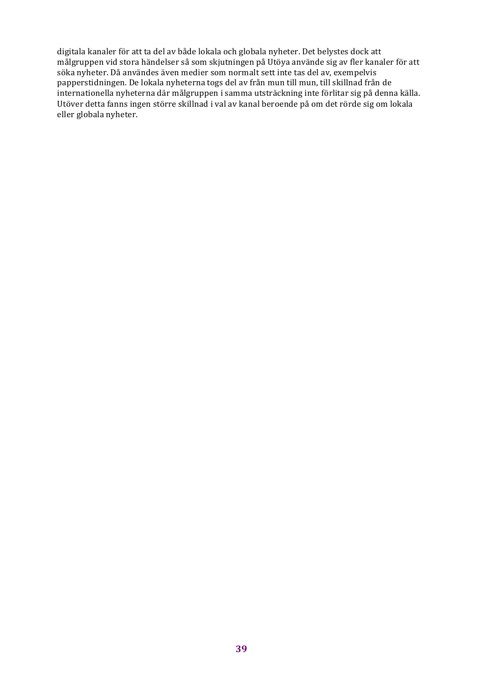digitala kanaler för att ta del av både lokala och globala nyheter. Det belystes dock att målgruppen vid stora händelser så som skjutningen på Utöya använde sig av fler kanaler för att söka nyheter. Då användes även medier som normalt sett inte tas del av, exempelvis papperstidningen. De lokala nyheterna togs del av från mun till mun, till skillnad från de internationella nyheterna där målgruppen i samma utsträckning inte förlitar sig på denna källa. Utöver detta fanns ingen större skillnad i val av kanal beroende på om det rörde sig om lokala eller globala nyheter.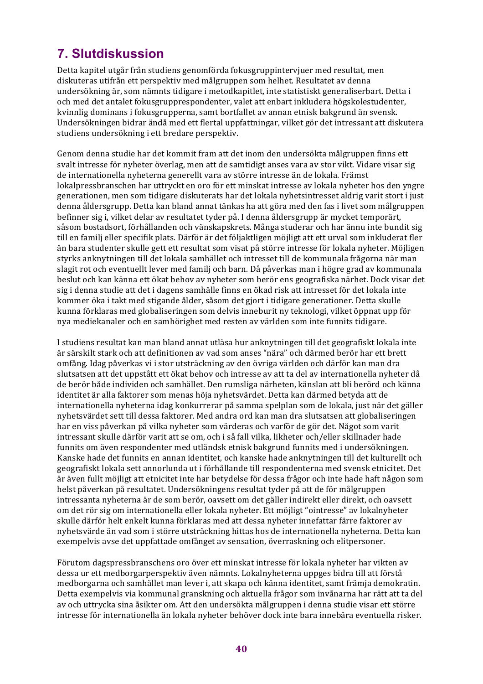# **7. Slutdiskussion**

Detta kapitel utgår från studiens genomförda fokusgruppintervjuer med resultat, men diskuteras utifrån ett perspektiv med målgruppen som helhet. Resultatet av denna undersökning är, som nämnts tidigare i metodkapitlet, inte statistiskt generaliserbart. Detta i och med det antalet fokusgrupprespondenter, valet att enbart inkludera högskolestudenter, kvinnlig dominans i fokusgrupperna, samt bortfallet av annan etnisk bakgrund än svensk. Undersökningen bidrar ändå med ett flertal uppfattningar, vilket gör det intressant att diskutera studiens undersökning i ett bredare perspektiv.

Genom denna studie har det kommit fram att det inom den undersökta målgruppen finns ett svalt intresse för nyheter överlag, men att de samtidigt anses vara av stor vikt. Vidare visar sig de internationella nyheterna generellt vara av större intresse än de lokala. Främst lokalpressbranschen har uttryckt en oro för ett minskat intresse av lokala nyheter hos den yngre generationen, men som tidigare diskuterats har det lokala nyhetsintresset aldrig varit stort i just denna åldersgrupp. Detta kan bland annat tänkas ha att göra med den fas i livet som målgruppen befinner sig i, vilket delar av resultatet tyder på. I denna åldersgrupp är mycket temporärt, såsom bostadsort, förhållanden och vänskapskrets. Många studerar och har ännu inte bundit sig till en familj eller specifik plats. Därför är det följaktligen möjligt att ett urval som inkluderat fler än bara studenter skulle gett ett resultat som visat på större intresse för lokala nyheter. Möjligen styrks anknytningen till det lokala samhället och intresset till de kommunala frågorna när man slagit rot och eventuellt lever med familj och barn. Då påverkas man i högre grad av kommunala beslut och kan känna ett ökat behov av nyheter som berör ens geografiska närhet. Dock visar det sig i denna studie att det i dagens samhälle finns en ökad risk att intresset för det lokala inte kommer öka i takt med stigande ålder, såsom det gjort i tidigare generationer. Detta skulle kunna förklaras med globaliseringen som delvis inneburit ny teknologi, vilket öppnat upp för nya mediekanaler och en samhörighet med resten av världen som inte funnits tidigare.

I studiens resultat kan man bland annat utläsa hur anknytningen till det geografiskt lokala inte är särskilt stark och att definitionen av vad som anses "nära" och därmed berör har ett brett omfång. Idag påverkas vi i stor utsträckning av den övriga världen och därför kan man dra slutsatsen att det uppstått ett ökat behov och intresse av att ta del av internationella nyheter då de berör både individen och samhället. Den rumsliga närheten, känslan att bli berörd och känna identitet är alla faktorer som menas höja nyhetsvärdet. Detta kan därmed betyda att de internationella nyheterna idag konkurrerar på samma spelplan som de lokala, just när det gäller nyhetsvärdet sett till dessa faktorer. Med andra ord kan man dra slutsatsen att globaliseringen har en viss påverkan på vilka nyheter som värderas och varför de gör det. Något som varit intressant skulle därför varit att se om, och i så fall vilka, likheter och/eller skillnader hade funnits om även respondenter med utländsk etnisk bakgrund funnits med i undersökningen. Kanske hade det funnits en annan identitet, och kanske hade anknytningen till det kulturellt och geografiskt lokala sett annorlunda ut i förhållande till respondenterna med svensk etnicitet. Det är även fullt möjligt att etnicitet inte har betydelse för dessa frågor och inte hade haft någon som helst påverkan på resultatet. Undersökningens resultat tyder på att de för målgruppen intressanta nyheterna är de som berör, oavsett om det gäller indirekt eller direkt, och oavsett om det rör sig om internationella eller lokala nyheter. Ett möjligt "ointresse" av lokalnyheter skulle därför helt enkelt kunna förklaras med att dessa nyheter innefattar färre faktorer av nyhetsvärde än vad som i större utsträckning hittas hos de internationella nyheterna. Detta kan exempelvis avse det uppfattade omfånget av sensation, överraskning och elitpersoner.

Förutom dagspressbranschens oro över ett minskat intresse för lokala nyheter har vikten av dessa ur ett medborgarperspektiv även nämnts. Lokalnyheterna uppges bidra till att förstå medborgarna och samhället man lever i, att skapa och känna identitet, samt främia demokratin. Detta exempelvis via kommunal granskning och aktuella frågor som invånarna har rätt att ta del av och uttrycka sina åsikter om. Att den undersökta målgruppen i denna studie visar ett större intresse för internationella än lokala nyheter behöver dock inte bara innebära eventuella risker.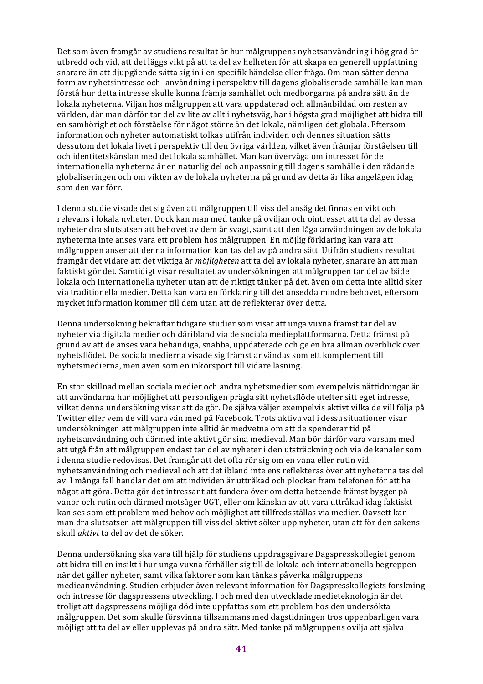Det som även framgår av studiens resultat är hur målgruppens nyhetsanvändning i hög grad är utbredd och vid, att det läggs vikt på att ta del av helheten för att skapa en generell uppfattning snarare än att djupgående sätta sig in i en specifik händelse eller fråga. Om man sätter denna form av nyhetsintresse och -användning i perspektiv till dagens globaliserade samhälle kan man förstå hur detta intresse skulle kunna främja samhället och medborgarna på andra sätt än de lokala nyheterna. Viljan hos målgruppen att vara uppdaterad och allmänbildad om resten av världen, där man därför tar del av lite av allt i nyhetsväg, har i högsta grad möjlighet att bidra till en samhörighet och förståelse för något större än det lokala, nämligen det globala. Eftersom information och nyheter automatiskt tolkas utifrån individen och dennes situation sätts dessutom det lokala livet i perspektiv till den övriga världen, vilket även främjar förståelsen till och identitetskänslan med det lokala samhället. Man kan överväga om intresset för de internationella nyheterna är en naturlig del och anpassning till dagens samhälle i den rådande globaliseringen och om vikten av de lokala nyheterna på grund av detta är lika angelägen idag som den var förr.

I denna studie visade det sig även att målgruppen till viss del ansåg det finnas en vikt och relevans i lokala nyheter. Dock kan man med tanke på oviljan och ointresset att ta del av dessa nyheter dra slutsatsen att behovet av dem är svagt, samt att den låga användningen av de lokala nyheterna inte anses vara ett problem hos målgruppen. En möjlig förklaring kan vara att målgruppen anser att denna information kan tas del av på andra sätt. Utifrån studiens resultat framgår det vidare att det viktiga är *möjligheten* att ta del av lokala nyheter, snarare än att man faktiskt gör det. Samtidigt visar resultatet av undersökningen att målgruppen tar del av både lokala och internationella nyheter utan att de riktigt tänker på det, även om detta inte alltid sker via traditionella medier. Detta kan vara en förklaring till det ansedda mindre behovet, eftersom mycket information kommer till dem utan att de reflekterar över detta.

Denna undersökning bekräftar tidigare studier som visat att unga vuxna främst tar del av nyheter via digitala medier och däribland via de sociala medieplattformarna. Detta främst på grund av att de anses vara behändiga, snabba, uppdaterade och ge en bra allmän överblick över nyhetsflödet. De sociala medierna visade sig främst användas som ett komplement till nyhetsmedierna, men även som en inkörsport till vidare läsning.

En stor skillnad mellan sociala medier och andra nyhetsmedier som exempelvis nättidningar är att användarna har möjlighet att personligen prägla sitt nyhetsflöde utefter sitt eget intresse, vilket denna undersökning visar att de gör. De själva väljer exempelvis aktivt vilka de vill följa på Twitter eller vem de vill vara vän med på Facebook. Trots aktiva val i dessa situationer visar undersökningen att målgruppen inte alltid är medvetna om att de spenderar tid på nyhetsanvändning och därmed inte aktivt gör sina medieval. Man bör därför vara varsam med att utgå från att målgruppen endast tar del av nyheter i den utsträckning och via de kanaler som i denna studie redovisas. Det framgår att det ofta rör sig om en vana eller rutin vid nyhetsanvändning och medieval och att det ibland inte ens reflekteras över att nyheterna tas del av. I många fall handlar det om att individen är uttråkad och plockar fram telefonen för att ha något att göra. Detta gör det intressant att fundera över om detta beteende främst bygger på vanor och rutin och därmed motsäger UGT, eller om känslan av att vara uttråkad idag faktiskt kan ses som ett problem med behov och möjlighet att tillfredsställas via medier. Oavsett kan man dra slutsatsen att målgruppen till viss del aktivt söker upp nyheter, utan att för den sakens skull *aktivt* ta del av det de söker.

Denna undersökning ska vara till hjälp för studiens uppdragsgivare Dagspresskollegiet genom att bidra till en insikt i hur unga vuxna förhåller sig till de lokala och internationella begreppen när det gäller nyheter, samt vilka faktorer som kan tänkas påverka målgruppens medieanvändning. Studien erbjuder även relevant information för Dagspresskollegiets forskning och intresse för dagspressens utveckling. I och med den utvecklade medieteknologin är det troligt att dagspressens möjliga död inte uppfattas som ett problem hos den undersökta målgruppen. Det som skulle försvinna tillsammans med dagstidningen tros uppenbarligen vara möjligt att ta del av eller upplevas på andra sätt. Med tanke på målgruppens ovilja att själva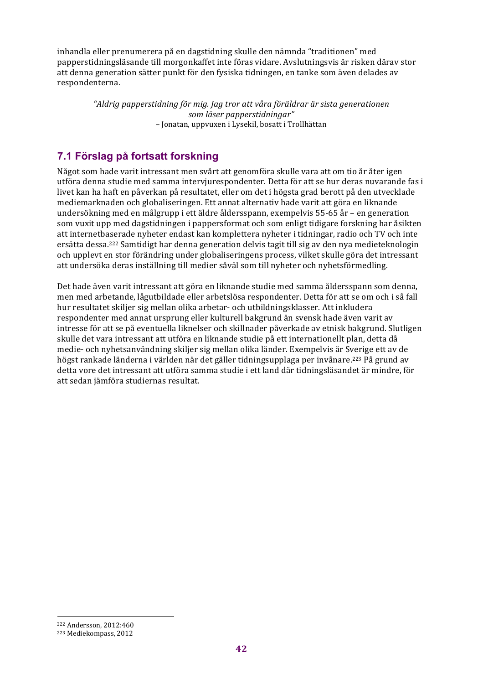inhandla eller prenumerera på en dagstidning skulle den nämnda "traditionen" med papperstidningsläsande till morgonkaffet inte föras vidare. Avslutningsvis är risken därav stor att denna generation sätter punkt för den fysiska tidningen, en tanke som även delades av respondenterna.

> *"Aldrig papperstidning för mig. Jag tror att våra föräldrar är sista generationen som läser papperstidningar" –* Jonatan, uppvuxen i Lysekil, bosatt i Trollhättan

# **7.1 Förslag på fortsatt forskning**

Något som hade varit intressant men svårt att genomföra skulle vara att om tio år åter igen utföra denna studie med samma intervjurespondenter. Detta för att se hur deras nuvarande fas i livet kan ha haft en påverkan på resultatet, eller om det i högsta grad berott på den utvecklade mediemarknaden och globaliseringen. Ett annat alternativ hade varit att göra en liknande undersökning med en målgrupp i ett äldre åldersspann, exempelvis 55-65 år – en generation som vuxit upp med dagstidningen i pappersformat och som enligt tidigare forskning har åsikten att internetbaserade nyheter endast kan komplettera nyheter i tidningar, radio och TV och inte ersätta dessa.<sup>222</sup> Samtidigt har denna generation delvis tagit till sig av den nya medieteknologin och upplevt en stor förändring under globaliseringens process, vilket skulle göra det intressant att undersöka deras inställning till medier såväl som till nyheter och nyhetsförmedling.

Det hade även varit intressant att göra en liknande studie med samma åldersspann som denna, men med arbetande, lågutbildade eller arbetslösa respondenter. Detta för att se om och i så fall hur resultatet skiljer sig mellan olika arbetar- och utbildningsklasser. Att inkludera respondenter med annat ursprung eller kulturell bakgrund än svensk hade även varit av intresse för att se på eventuella liknelser och skillnader påverkade av etnisk bakgrund. Slutligen skulle det vara intressant att utföra en liknande studie på ett internationellt plan, detta då medie- och nyhetsanvändning skiljer sig mellan olika länder. Exempelvis är Sverige ett av de högst rankade länderna i världen när det gäller tidningsupplaga per invånare.<sup>223</sup> På grund av detta vore det intressant att utföra samma studie i ett land där tidningsläsandet är mindre, för att sedan jämföra studiernas resultat.

<sup>222</sup> Andersson, 2012:460

<sup>&</sup>lt;sup>223</sup> Mediekompass, 2012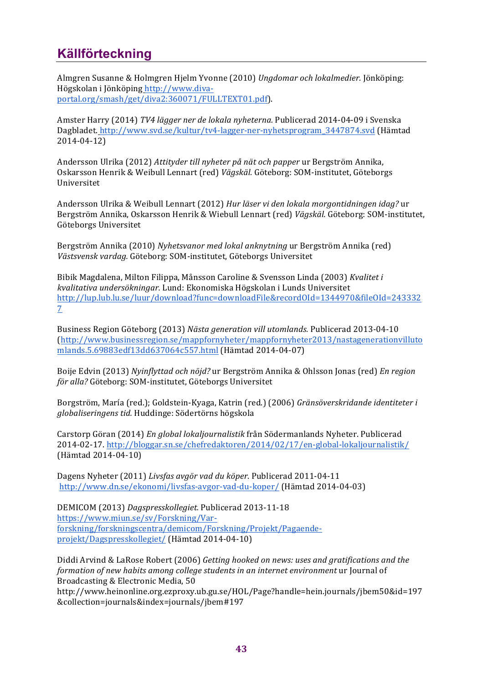# **Källförteckning**

Almgren Susanne & Holmgren Hjelm Yvonne (2010) *Ungdomar och lokalmedier.* Jönköping: Högskolan i Jönköping http://www.divaportal.org/smash/get/diva2:360071/FULLTEXT01.pdf).

Amster Harry (2014) *TV4 lägger ner de lokala nyheterna.* Publicerad 2014-04-09 i Svenska Dagbladet. http://www.svd.se/kultur/tv4-lagger-ner-nyhetsprogram\_3447874.svd (Hämtad 2014-04-12)

Andersson Ulrika (2012) *Attityder till nyheter på nät och papper* ur Bergström Annika, Oskarsson Henrik & Weibull Lennart (red) Vägskäl. Göteborg: SOM-institutet, Göteborgs Universitet

Andersson Ulrika & Weibull Lennart (2012) *Hur läser vi den lokala morgontidningen idag?* ur Bergström Annika, Oskarsson Henrik & Wiebull Lennart (red) *Vägskäl*. Göteborg: SOM-institutet, Göteborgs Universitet

Bergström Annika (2010) *Nyhetsvanor med lokal anknytning* ur Bergström Annika (red) *Västsvensk vardag.* Göteborg: SOM-institutet, Göteborgs Universitet

Bibik Magdalena, Milton Filippa, Månsson Caroline & Svensson Linda (2003) *Kvalitet i kvalitativa undersökningar.* Lund: Ekonomiska Högskolan i Lunds Universitet http://lup.lub.lu.se/luur/download?func=downloadFile&recordOId=1344970&fileOId=243332 7

Business Region Göteborg (2013) Nästa generation vill utomlands. Publicerad 2013-04-10 (http://www.businessregion.se/mappfornyheter/mappfornyheter2013/nastagenerationvilluto mlands.5.69883edf13dd637064c557.html (Hämtad 2014-04-07)

Boije Edvin (2013) *Nyinflyttad och nöjd?* ur Bergström Annika & Ohlsson Jonas (red) *En region för alla?* Göteborg: SOM-institutet, Göteborgs Universitet

Borgström, María (red.); Goldstein-Kyaga, Katrin (red.) (2006) Gränsöverskridande identiteter i *globaliseringens tid.* Huddinge: Södertörns högskola 

Carstorp Göran (2014) *En global lokaljournalistik* från Södermanlands Nyheter. Publicerad 2014-02-17. http://bloggar.sn.se/chefredaktoren/2014/02/17/en-global-lokaljournalistik/ (Hämtad 2014-04-10)

Dagens Nyheter (2011) Livsfas avgör vad du köper. Publicerad 2011-04-11 http://www.dn.se/ekonomi/livsfas-avgor-vad-du-koper/ (Hämtad 2014-04-03)

DEMICOM (2013) *Dagspresskollegiet.* Publicerad 2013-11-18 https://www.miun.se/sv/Forskning/Varforskning/forskningscentra/demicom/Forskning/Projekt/Pagaendeprojekt/Dagspresskollegiet/ (Hämtad 2014-04-10)

Diddi Arvind & LaRose Robert (2006) Getting hooked on news: uses and gratifications and the *formation* of new habits among college students in an internet environment ur Journal of Broadcasting & Electronic Media, 50

http://www.heinonline.org.ezproxy.ub.gu.se/HOL/Page?handle=hein.journals/jbem50&id=197 &collection=journals&index=journals/jbem#197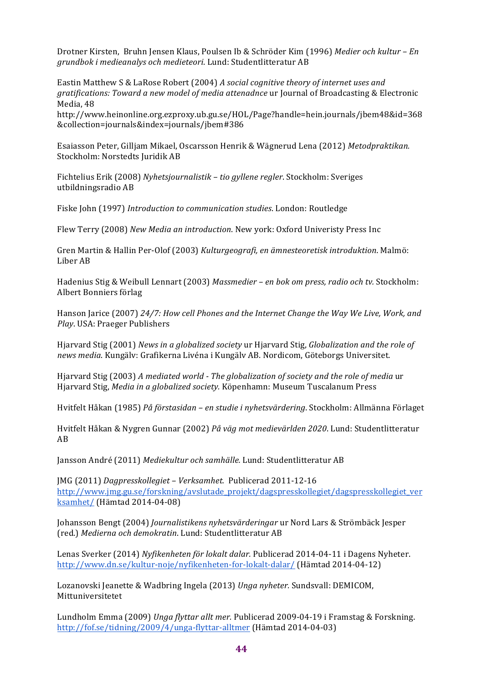Drotner Kirsten, Bruhn Jensen Klaus, Poulsen Ib & Schröder Kim (1996) *Medier och kultur – En grundbok i medieanalys och medieteori*. Lund: Studentlitteratur AB

Eastin Matthew S & LaRose Robert (2004) *A social cognitive theory of internet uses and gratifications: Toward a new model of media attenadnce* ur Journal of Broadcasting & Electronic Media, 48

http://www.heinonline.org.ezproxy.ub.gu.se/HOL/Page?handle=hein.journals/jbem48&id=368 &collection=journals&index=journals/jbem#386 

Esaiasson Peter, Gilljam Mikael, Oscarsson Henrik & Wägnerud Lena (2012) Metodpraktikan. Stockholm: Norstedts Juridik AB

Fichtelius Erik (2008) *Nyhetsjournalistik* – *tio gyllene regler*. Stockholm: Sveriges utbildningsradio AB

Fiske John (1997) *Introduction to communication studies*. London: Routledge

Flew Terry (2008) *New Media an introduction*. New york: Oxford Univeristy Press Inc

Gren Martin & Hallin Per-Olof (2003) *Kulturgeografi, en ämnesteoretisk introduktion*. Malmö: Liber AB

Hadenius Stig & Weibull Lennart (2003) *Massmedier* – *en bok om press, radio och tv.* Stockholm: Albert Bonniers förlag

Hanson Jarice (2007) 24/7: How cell Phones and the Internet Change the Way We Live, Work, and *Play*. USA: Praeger Publishers

Hjarvard Stig (2001) News in a globalized society ur Hjarvard Stig, *Globalization* and the role of news media. Kungälv: Grafikerna Livéna i Kungälv AB. Nordicom, Göteborgs Universitet.

Hiarvard Stig (2003) A mediated world - The globalization of society and the role of media ur Hjarvard Stig, *Media in a globalized society.* Köpenhamn: Museum Tuscalanum Press

Hvitfelt Håkan (1985) *På förstasidan – en studie i nyhetsvärdering*. Stockholm: Allmänna Förlaget

Hvitfelt Håkan & Nygren Gunnar (2002) På väg mot medievärlden 2020. Lund: Studentlitteratur AB

Jansson André (2011) Mediekultur och samhälle. Lund: Studentlitteratur AB

JMG (2011) *Dagpresskollegiet* - Verksamhet. Publicerad 2011-12-16 http://www.jmg.gu.se/forskning/avslutade\_projekt/dagspresskollegiet/dagspresskollegiet\_ver ksamhet/ (Hämtad 2014-04-08)

Johansson Bengt (2004) *Journalistikens nyhetsvärderingar* ur Nord Lars & Strömbäck Jesper (red.) *Medierna och demokratin*. Lund: Studentlitteratur AB

Lenas Sverker (2014) Nyfikenheten för lokalt dalar. Publicerad 2014-04-11 i Dagens Nyheter. http://www.dn.se/kultur-noje/nyfikenheten-for-lokalt-dalar/ (Hämtad 2014-04-12)

Lozanovski Jeanette & Wadbring Ingela (2013) *Unga nyheter*. Sundsvall: DEMICOM, Mittuniversitetet

Lundholm Emma (2009) *Unga flyttar allt mer.* Publicerad 2009-04-19 i Framstag & Forskning. http://fof.se/tidning/2009/4/unga-flyttar-alltmer (Hämtad 2014-04-03)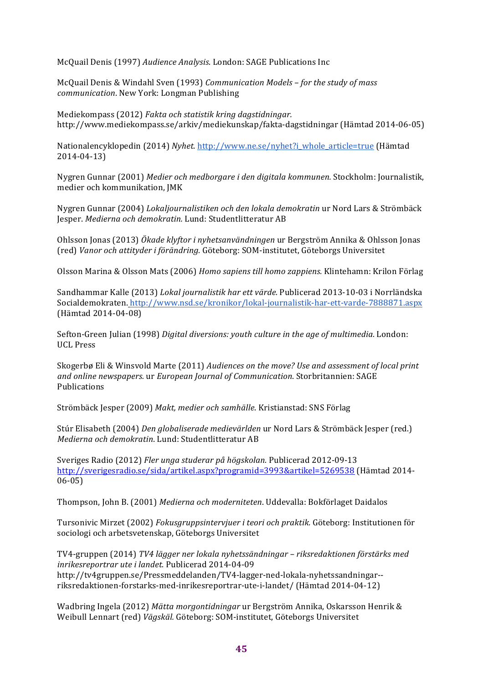McQuail Denis (1997) *Audience Analysis*. London: SAGE Publications Inc

McQuail Denis & Windahl Sven (1993) *Communication Models - for the study of mass communication*. New York: Longman Publishing

Mediekompass (2012) *Fakta och statistik kring dagstidningar.* http://www.mediekompass.se/arkiv/mediekunskap/fakta-dagstidningar (Hämtad 2014-06-05)

Nationalencyklopedin (2014) *Nyhet.* http://www.ne.se/nyhet?i\_whole\_article=true (Hämtad 2014-04-13) 

Nygren Gunnar (2001) *Medier och medborgare i den digitala kommunen*. Stockholm: Journalistik, medier och kommunikation, JMK

Nygren Gunnar (2004) *Lokaljournalistiken och den lokala demokratin* ur Nord Lars & Strömbäck Jesper. *Medierna och demokratin.* Lund: Studentlitteratur AB

Ohlsson Jonas (2013) *Ökade klyftor i nyhetsanvändningen* ur Bergström Annika & Ohlsson Jonas (red) *Vanor och attityder i förändring.* Göteborg: SOM-institutet, Göteborgs Universitet

Olsson Marina & Olsson Mats (2006) *Homo sapiens till homo zappiens*. Klintehamn: Krilon Förlag

Sandhammar Kalle (2013) *Lokal journalistik har ett värde.* Publicerad 2013-10-03 i Norrländska Socialdemokraten. http://www.nsd.se/kronikor/lokal-journalistik-har-ett-varde-7888871.aspx (Hämtad 2014-04-08) 

Sefton-Green Julian (1998) *Digital diversions: youth culture in the age of multimedia.* London: UCL Press

Skogerbø Eli & Winsvold Marte (2011) *Audiences on the move? Use and assessment of local print* and online newspapers. ur *European Journal of Communication*. Storbritannien: SAGE Publications

Strömbäck Jesper (2009) *Makt, medier och samhälle*. Kristianstad: SNS Förlag

Stúr Elisabeth (2004) *Den globaliserade medievärlden* ur Nord Lars & Strömbäck Jesper (red.) *Medierna och demokratin*. Lund: Studentlitteratur AB

Sveriges Radio (2012) *Fler unga studerar på högskolan.* Publicerad 2012-09-13 http://sverigesradio.se/sida/artikel.aspx?programid=3993&artikel=5269538 (Hämtad 2014-06-05)

Thompson, John B. (2001) Medierna och moderniteten. Uddevalla: Bokförlaget Daidalos

Tursonivic Mirzet (2002) *Fokusgruppsintervjuer i teori och praktik.* Göteborg: Institutionen för sociologi och arbetsvetenskap, Göteborgs Universitet

TV4-gruppen (2014) *TV4 lägger ner lokala nyhetssändningar – riksredaktionen förstärks med inrikesreportrar ute i landet.* Publicerad 2014-04-09 http://tv4gruppen.se/Pressmeddelanden/TV4-lagger-ned-lokala-nyhetssandningar- riksredaktionen-forstarks-med-inrikesreportrar-ute-i-landet/ (Hämtad 2014-04-12)

Wadbring Ingela (2012) *Mätta morgontidningar* ur Bergström Annika, Oskarsson Henrik & Weibull Lennart (red) Vägskäl. Göteborg: SOM-institutet, Göteborgs Universitet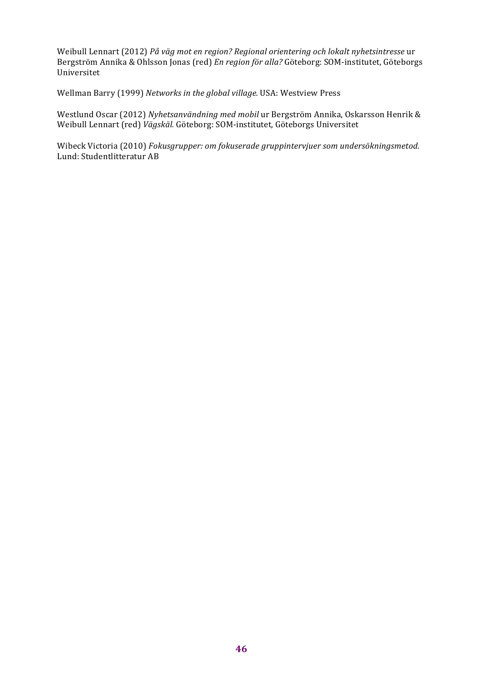Weibull Lennart (2012) *På väg mot en region? Regional orientering och lokalt nyhetsintresse* ur Bergström Annika & Ohlsson Jonas (red) *En region för alla?* Göteborg: SOM-institutet, Göteborgs Universitet

Wellman Barry (1999) Networks in the global village. USA: Westview Press

Westlund Oscar (2012) Nyhetsanvändning med mobil ur Bergström Annika, Oskarsson Henrik & Weibull Lennart (red) Vägskäl. Göteborg: SOM-institutet, Göteborgs Universitet

Wibeck Victoria (2010) Fokusgrupper: om fokuserade gruppintervjuer som undersökningsmetod. Lund: Studentlitteratur AB